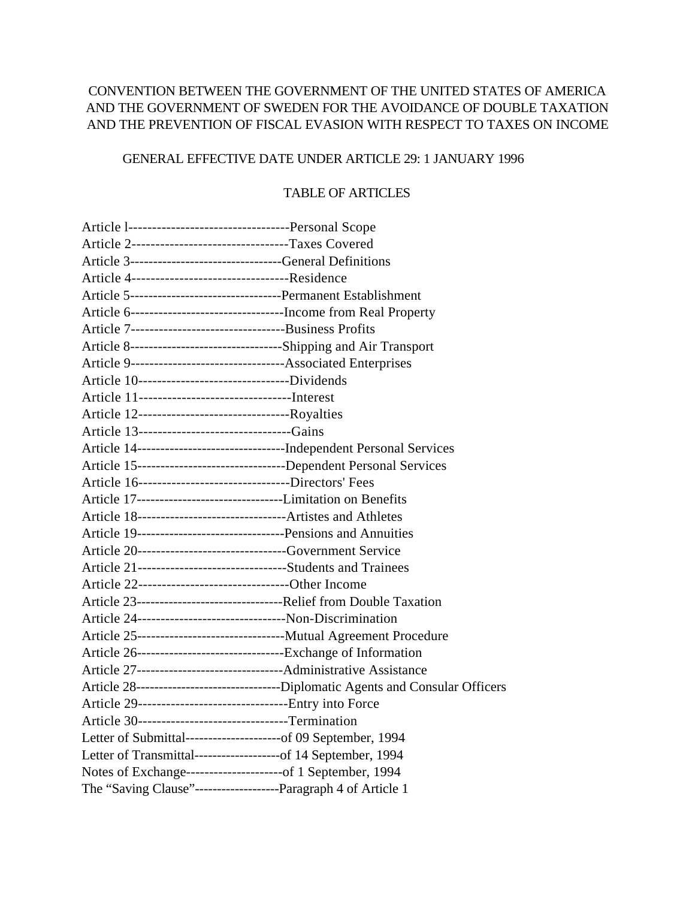# CONVENTION BETWEEN THE GOVERNMENT OF THE UNITED STATES OF AMERICA AND THE GOVERNMENT OF SWEDEN FOR THE AVOIDANCE OF DOUBLE TAXATION AND THE PREVENTION OF FISCAL EVASION WITH RESPECT TO TAXES ON INCOME

# GENERAL EFFECTIVE DATE UNDER ARTICLE 29: 1 JANUARY 1996

#### TABLE OF ARTICLES

| Article 2--------------------------------Taxes Covered                   |                                                                                      |
|--------------------------------------------------------------------------|--------------------------------------------------------------------------------------|
| Article 3--------------------------------General Definitions             |                                                                                      |
|                                                                          |                                                                                      |
|                                                                          |                                                                                      |
| Article 6----------------------------------Income from Real Property     |                                                                                      |
|                                                                          |                                                                                      |
| Article 8----------------------------------Shipping and Air Transport    |                                                                                      |
| Article 9----------------------------------Associated Enterprises        |                                                                                      |
| Article 10----------------------------------Dividends                    |                                                                                      |
|                                                                          |                                                                                      |
|                                                                          |                                                                                      |
| Article 13-------------------------------Gains                           |                                                                                      |
|                                                                          |                                                                                      |
| Article 15-----------------------------------Dependent Personal Services |                                                                                      |
| Article 16---------------------------------Directors' Fees               |                                                                                      |
|                                                                          |                                                                                      |
| Article 18----------------------------------Artistes and Athletes        |                                                                                      |
|                                                                          |                                                                                      |
| Article 20-------------------------------Government Service              |                                                                                      |
| Article 21---------------------------------Students and Trainees         |                                                                                      |
| Article 22----------------------------------Other Income                 |                                                                                      |
|                                                                          |                                                                                      |
| Article 24--------------------------------Non-Discrimination             |                                                                                      |
|                                                                          |                                                                                      |
| Article 26----------------------------------Exchange of Information      |                                                                                      |
|                                                                          |                                                                                      |
|                                                                          | Article 28-----------------------------------Diplomatic Agents and Consular Officers |
| Article 29--------------------------------Entry into Force               |                                                                                      |
| Article 30-------------------------------Termination                     |                                                                                      |
| Letter of Submittal-----------------------of 09 September, 1994          |                                                                                      |
| Letter of Transmittal--------------------of 14 September, 1994           |                                                                                      |
| Notes of Exchange----------------------of 1 September, 1994              |                                                                                      |
| The "Saving Clause"--------------------Paragraph 4 of Article 1          |                                                                                      |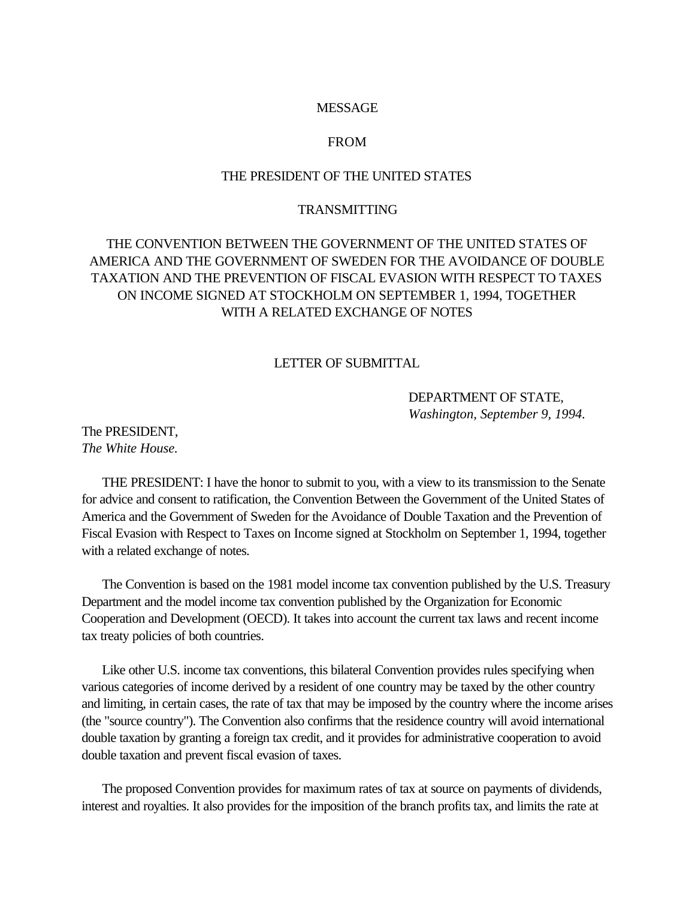#### MESSAGE

#### FROM

#### THE PRESIDENT OF THE UNITED STATES

#### TRANSMITTING

# <span id="page-1-0"></span>THE CONVENTION BETWEEN THE GOVERNMENT OF THE UNITED STATES OF AMERICA AND THE GOVERNMENT OF SWEDEN FOR THE AVOIDANCE OF DOUBLE TAXATION AND THE PREVENTION OF FISCAL EVASION WITH RESPECT TO TAXES ON INCOME SIGNED AT STOCKHOLM ON SEPTEMBER 1, 1994, TOGETHER WITH A RELATED EXCHANGE OF NOTES

#### LETTER OF SUBMITTAL

DEPARTMENT OF STATE, *Washington, September 9, 1994.*

The PRESIDENT, *The White House.*

 THE PRESIDENT: I have the honor to submit to you, with a view to its transmission to the Senate for advice and consent to ratification, the Convention Between the Government of the United States of America and the Government of Sweden for the Avoidance of Double Taxation and the Prevention of Fiscal Evasion with Respect to Taxes on Income signed at Stockholm on September 1, 1994, together with a related exchange of notes.

 The Convention is based on the 1981 model income tax convention published by the U.S. Treasury Department and the model income tax convention published by the Organization for Economic Cooperation and Development (OECD). It takes into account the current tax laws and recent income tax treaty policies of both countries.

 Like other U.S. income tax conventions, this bilateral Convention provides rules specifying when various categories of income derived by a resident of one country may be taxed by the other country and limiting, in certain cases, the rate of tax that may be imposed by the country where the income arises (the "source country"). The Convention also confirms that the residence country will avoid international double taxation by granting a foreign tax credit, and it provides for administrative cooperation to avoid double taxation and prevent fiscal evasion of taxes.

 The proposed Convention provides for maximum rates of tax at source on payments of dividends, interest and royalties. It also provides for the imposition of the branch profits tax, and limits the rate at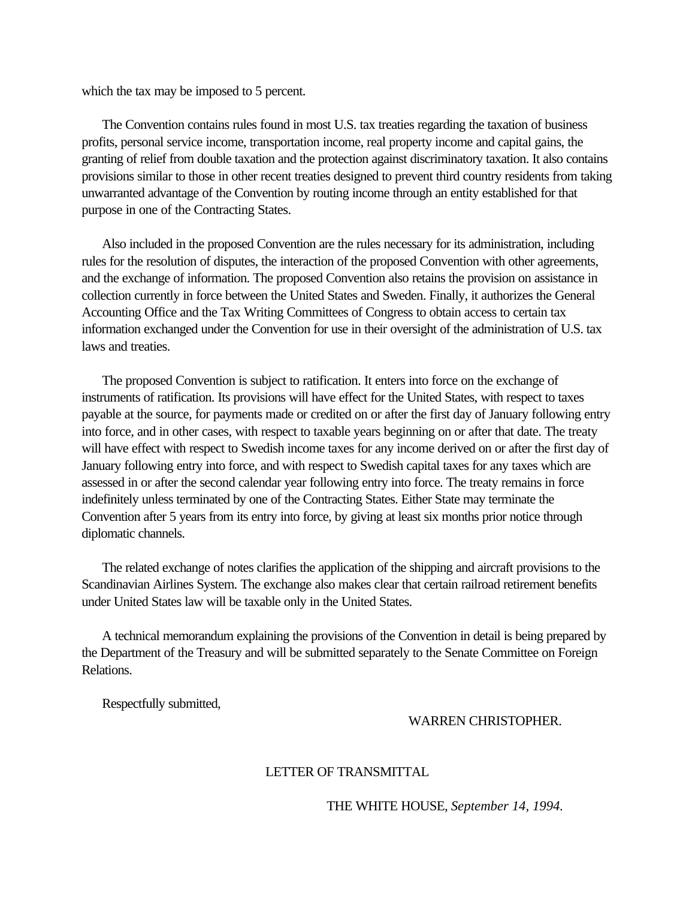<span id="page-2-0"></span>which the tax may be imposed to 5 percent.

 The Convention contains rules found in most U.S. tax treaties regarding the taxation of business profits, personal service income, transportation income, real property income and capital gains, the granting of relief from double taxation and the protection against discriminatory taxation. It also contains provisions similar to those in other recent treaties designed to prevent third country residents from taking unwarranted advantage of the Convention by routing income through an entity established for that purpose in one of the Contracting States.

 Also included in the proposed Convention are the rules necessary for its administration, including rules for the resolution of disputes, the interaction of the proposed Convention with other agreements, and the exchange of information. The proposed Convention also retains the provision on assistance in collection currently in force between the United States and Sweden. Finally, it authorizes the General Accounting Office and the Tax Writing Committees of Congress to obtain access to certain tax information exchanged under the Convention for use in their oversight of the administration of U.S. tax laws and treaties.

 The proposed Convention is subject to ratification. It enters into force on the exchange of instruments of ratification. Its provisions will have effect for the United States, with respect to taxes payable at the source, for payments made or credited on or after the first day of January following entry into force, and in other cases, with respect to taxable years beginning on or after that date. The treaty will have effect with respect to Swedish income taxes for any income derived on or after the first day of January following entry into force, and with respect to Swedish capital taxes for any taxes which are assessed in or after the second calendar year following entry into force. The treaty remains in force indefinitely unless terminated by one of the Contracting States. Either State may terminate the Convention after 5 years from its entry into force, by giving at least six months prior notice through diplomatic channels.

 The related exchange of notes clarifies the application of the shipping and aircraft provisions to the Scandinavian Airlines System. The exchange also makes clear that certain railroad retirement benefits under United States law will be taxable only in the United States.

 A technical memorandum explaining the provisions of the Convention in detail is being prepared by the Department of the Treasury and will be submitted separately to the Senate Committee on Foreign Relations.

Respectfully submitted,

#### WARREN CHRISTOPHER.

#### LETTER OF TRANSMITTAL

THE WHITE HOUSE, *September 14, 1994.*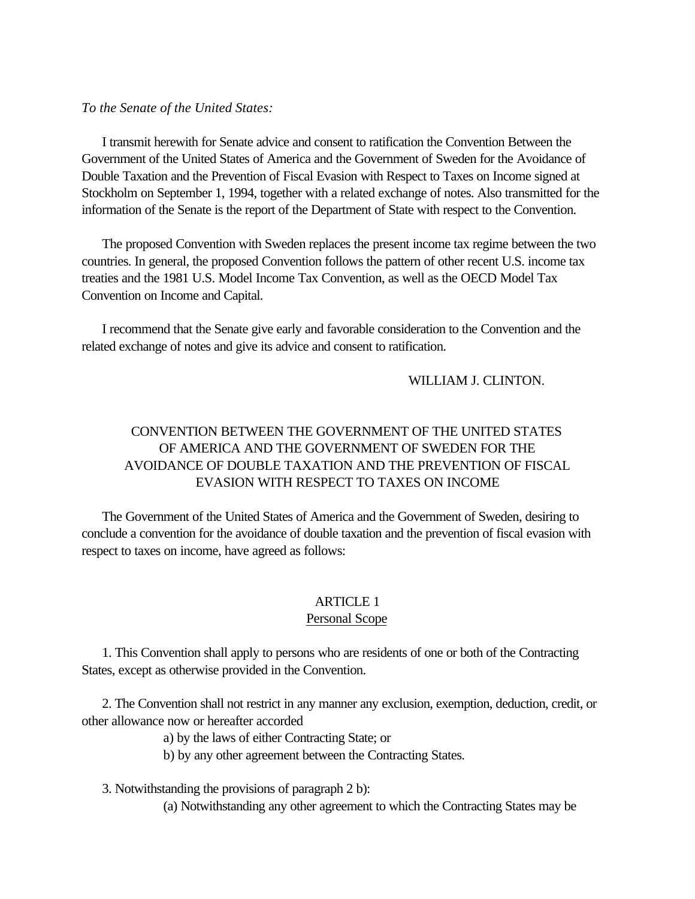<span id="page-3-0"></span>*To the Senate of the United States:*

 I transmit herewith for Senate advice and consent to ratification the Convention Between the Government of the United States of America and the Government of Sweden for the Avoidance of Double Taxation and the Prevention of Fiscal Evasion with Respect to Taxes on Income signed at Stockholm on September 1, 1994, together with a related exchange of notes. Also transmitted for the information of the Senate is the report of the Department of State with respect to the Convention.

 The proposed Convention with Sweden replaces the present income tax regime between the two countries. In general, the proposed Convention follows the pattern of other recent U.S. income tax treaties and the 1981 U.S. Model Income Tax Convention, as well as the OECD Model Tax Convention on Income and Capital.

 I recommend that the Senate give early and favorable consideration to the Convention and the related exchange of notes and give its advice and consent to ratification.

#### WILLIAM J. CLINTON.

# CONVENTION BETWEEN THE GOVERNMENT OF THE UNITED STATES OF AMERICA AND THE GOVERNMENT OF SWEDEN FOR THE AVOIDANCE OF DOUBLE TAXATION AND THE PREVENTION OF FISCAL EVASION WITH RESPECT TO TAXES ON INCOME

 The Government of the United States of America and the Government of Sweden, desiring to conclude a convention for the avoidance of double taxation and the prevention of fiscal evasion with respect to taxes on income, have agreed as follows:

## ARTICLE 1

#### Personal Scope

 1. This Convention shall apply to persons who are residents of one or both of the Contracting States, except as otherwise provided in the Convention.

 2. The Convention shall not restrict in any manner any exclusion, exemption, deduction, credit, or other allowance now or hereafter accorded

a) by the laws of either Contracting State; or

b) by any other agreement between the Contracting States.

3. Notwithstanding the provisions of paragraph 2 b):

(a) Notwithstanding any other agreement to which the Contracting States may be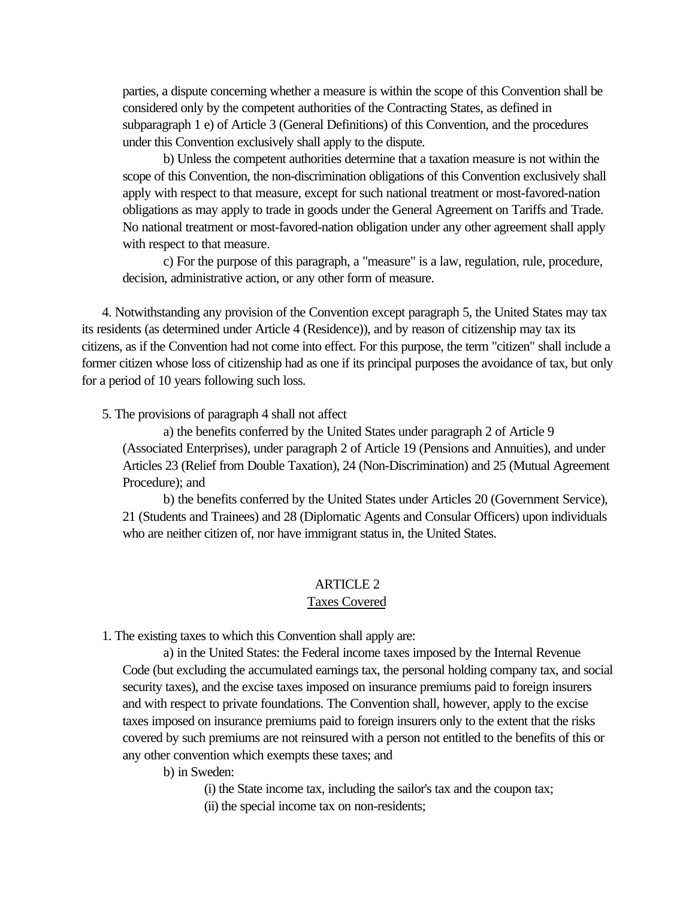<span id="page-4-0"></span>parties, a dispute concerning whether a measure is within the scope of this Convention shall be considered only by the competent authorities of the Contracting States, as defined in subparagraph 1 e) of Article 3 (General Definitions) of this Convention, and the procedures under this Convention exclusively shall apply to the dispute.

b) Unless the competent authorities determine that a taxation measure is not within the scope of this Convention, the non-discrimination obligations of this Convention exclusively shall apply with respect to that measure, except for such national treatment or most-favored-nation obligations as may apply to trade in goods under the General Agreement on Tariffs and Trade. No national treatment or most-favored-nation obligation under any other agreement shall apply with respect to that measure.

c) For the purpose of this paragraph, a "measure" is a law, regulation, rule, procedure, decision, administrative action, or any other form of measure.

 4. Notwithstanding any provision of the Convention except paragraph 5, the United States may tax its residents (as determined under Article 4 (Residence)), and by reason of citizenship may tax its citizens, as if the Convention had not come into effect. For this purpose, the term "citizen" shall include a former citizen whose loss of citizenship had as one if its principal purposes the avoidance of tax, but only for a period of 10 years following such loss.

5. The provisions of paragraph 4 shall not affect

a) the benefits conferred by the United States under paragraph 2 of Article 9 (Associated Enterprises), under paragraph 2 of Article 19 (Pensions and Annuities), and under Articles 23 (Relief from Double Taxation), 24 (Non-Discrimination) and 25 (Mutual Agreement Procedure); and

b) the benefits conferred by the United States under Articles 20 (Government Service), 21 (Students and Trainees) and 28 (Diplomatic Agents and Consular Officers) upon individuals who are neither citizen of, nor have immigrant status in, the United States.

#### ARTICLE 2

#### Taxes Covered

1. The existing taxes to which this Convention shall apply are:

a) in the United States: the Federal income taxes imposed by the Internal Revenue Code (but excluding the accumulated earnings tax, the personal holding company tax, and social security taxes), and the excise taxes imposed on insurance premiums paid to foreign insurers and with respect to private foundations. The Convention shall, however, apply to the excise taxes imposed on insurance premiums paid to foreign insurers only to the extent that the risks covered by such premiums are not reinsured with a person not entitled to the benefits of this or any other convention which exempts these taxes; and

b) in Sweden:

(i) the State income tax, including the sailor's tax and the coupon tax;

(ii) the special income tax on non-residents;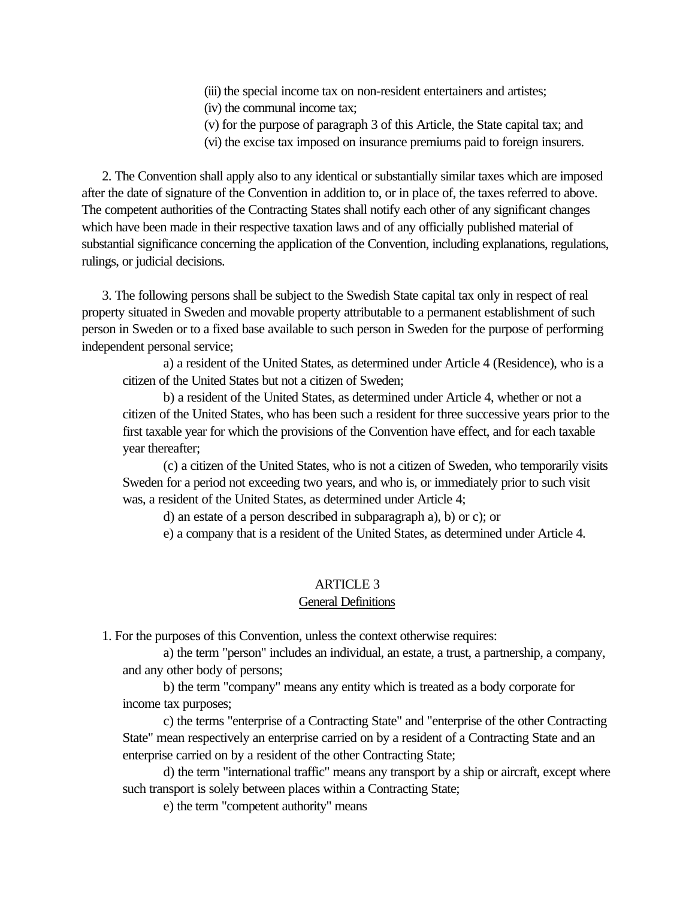- (iii) the special income tax on non-resident entertainers and artistes;
- (iv) the communal income tax;
- (v) for the purpose of paragraph 3 of this Article, the State capital tax; and
- (vi) the excise tax imposed on insurance premiums paid to foreign insurers.

<span id="page-5-0"></span> 2. The Convention shall apply also to any identical or substantially similar taxes which are imposed after the date of signature of the Convention in addition to, or in place of, the taxes referred to above. The competent authorities of the Contracting States shall notify each other of any significant changes which have been made in their respective taxation laws and of any officially published material of substantial significance concerning the application of the Convention, including explanations, regulations, rulings, or judicial decisions.

 3. The following persons shall be subject to the Swedish State capital tax only in respect of real property situated in Sweden and movable property attributable to a permanent establishment of such person in Sweden or to a fixed base available to such person in Sweden for the purpose of performing independent personal service;

a) a resident of the United States, as determined under Article 4 (Residence), who is a citizen of the United States but not a citizen of Sweden;

b) a resident of the United States, as determined under Article 4, whether or not a citizen of the United States, who has been such a resident for three successive years prior to the first taxable year for which the provisions of the Convention have effect, and for each taxable year thereafter;

(c) a citizen of the United States, who is not a citizen of Sweden, who temporarily visits Sweden for a period not exceeding two years, and who is, or immediately prior to such visit was, a resident of the United States, as determined under Article 4;

d) an estate of a person described in subparagraph a), b) or c); or

e) a company that is a resident of the United States, as determined under Article 4.

#### ARTICLE 3

#### General Definitions

1. For the purposes of this Convention, unless the context otherwise requires:

a) the term "person" includes an individual, an estate, a trust, a partnership, a company, and any other body of persons;

b) the term "company" means any entity which is treated as a body corporate for income tax purposes;

c) the terms "enterprise of a Contracting State" and "enterprise of the other Contracting State" mean respectively an enterprise carried on by a resident of a Contracting State and an enterprise carried on by a resident of the other Contracting State;

d) the term "international traffic" means any transport by a ship or aircraft, except where such transport is solely between places within a Contracting State;

e) the term "competent authority" means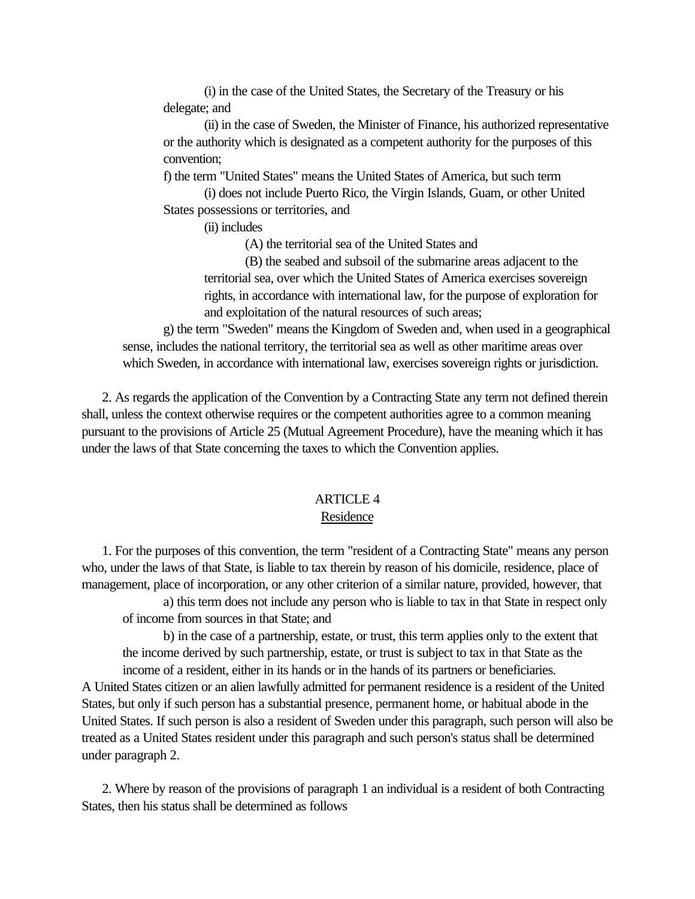<span id="page-6-0"></span>(i) in the case of the United States, the Secretary of the Treasury or his delegate; and

(ii) in the case of Sweden, the Minister of Finance, his authorized representative or the authority which is designated as a competent authority for the purposes of this convention;

f) the term "United States" means the United States of America, but such term

(i) does not include Puerto Rico, the Virgin Islands, Guam, or other United States possessions or territories, and

(ii) includes

(A) the territorial sea of the United States and

(B) the seabed and subsoil of the submarine areas adjacent to the territorial sea, over which the United States of America exercises sovereign rights, in accordance with international law, for the purpose of exploration for and exploitation of the natural resources of such areas;

g) the term "Sweden" means the Kingdom of Sweden and, when used in a geographical sense, includes the national territory, the territorial sea as well as other maritime areas over which Sweden, in accordance with international law, exercises sovereign rights or jurisdiction.

 2. As regards the application of the Convention by a Contracting State any term not defined therein shall, unless the context otherwise requires or the competent authorities agree to a common meaning pursuant to the provisions of Article 25 (Mutual Agreement Procedure), have the meaning which it has under the laws of that State concerning the taxes to which the Convention applies.

# ARTICLE 4

## Residence

 1. For the purposes of this convention, the term "resident of a Contracting State" means any person who, under the laws of that State, is liable to tax therein by reason of his domicile, residence, place of management, place of incorporation, or any other criterion of a similar nature, provided, however, that

a) this term does not include any person who is liable to tax in that State in respect only of income from sources in that State; and

b) in the case of a partnership, estate, or trust, this term applies only to the extent that the income derived by such partnership, estate, or trust is subject to tax in that State as the income of a resident, either in its hands or in the hands of its partners or beneficiaries.

A United States citizen or an alien lawfully admitted for permanent residence is a resident of the United States, but only if such person has a substantial presence, permanent home, or habitual abode in the United States. If such person is also a resident of Sweden under this paragraph, such person will also be treated as a United States resident under this paragraph and such person's status shall be determined under paragraph 2.

 2. Where by reason of the provisions of paragraph 1 an individual is a resident of both Contracting States, then his status shall be determined as follows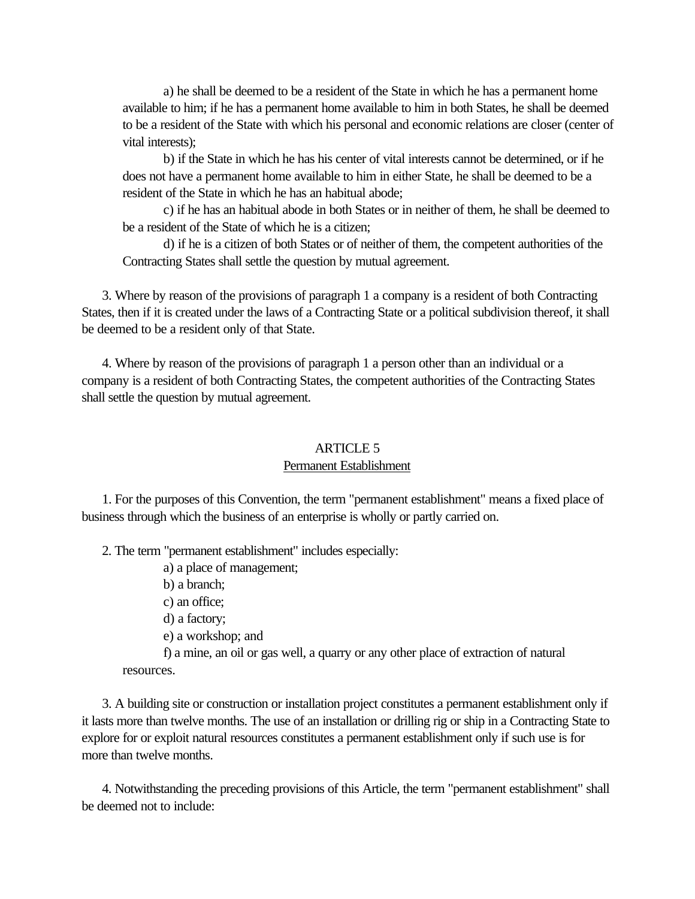<span id="page-7-0"></span>a) he shall be deemed to be a resident of the State in which he has a permanent home available to him; if he has a permanent home available to him in both States, he shall be deemed to be a resident of the State with which his personal and economic relations are closer (center of vital interests);

b) if the State in which he has his center of vital interests cannot be determined, or if he does not have a permanent home available to him in either State, he shall be deemed to be a resident of the State in which he has an habitual abode;

c) if he has an habitual abode in both States or in neither of them, he shall be deemed to be a resident of the State of which he is a citizen;

d) if he is a citizen of both States or of neither of them, the competent authorities of the Contracting States shall settle the question by mutual agreement.

 3. Where by reason of the provisions of paragraph 1 a company is a resident of both Contracting States, then if it is created under the laws of a Contracting State or a political subdivision thereof, it shall be deemed to be a resident only of that State.

 4. Where by reason of the provisions of paragraph 1 a person other than an individual or a company is a resident of both Contracting States, the competent authorities of the Contracting States shall settle the question by mutual agreement.

#### ARTICLE 5

#### Permanent Establishment

 1. For the purposes of this Convention, the term "permanent establishment" means a fixed place of business through which the business of an enterprise is wholly or partly carried on.

2. The term "permanent establishment" includes especially:

a) a place of management;

- b) a branch;
- c) an office;
- d) a factory;
- e) a workshop; and
- f) a mine, an oil or gas well, a quarry or any other place of extraction of natural resources.

 3. A building site or construction or installation project constitutes a permanent establishment only if it lasts more than twelve months. The use of an installation or drilling rig or ship in a Contracting State to explore for or exploit natural resources constitutes a permanent establishment only if such use is for more than twelve months.

 4. Notwithstanding the preceding provisions of this Article, the term "permanent establishment" shall be deemed not to include: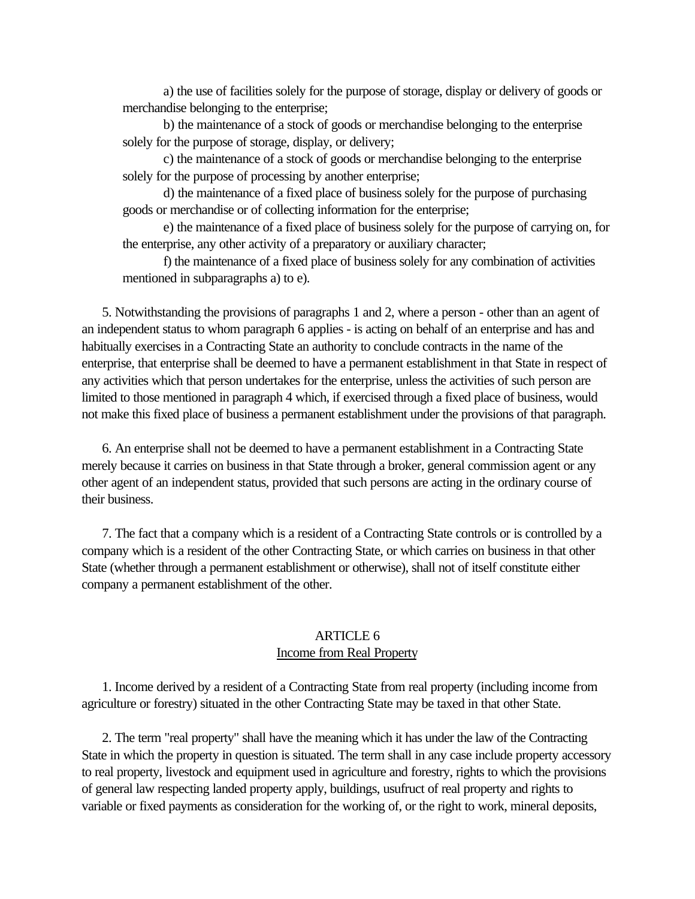<span id="page-8-0"></span>a) the use of facilities solely for the purpose of storage, display or delivery of goods or merchandise belonging to the enterprise;

b) the maintenance of a stock of goods or merchandise belonging to the enterprise solely for the purpose of storage, display, or delivery;

c) the maintenance of a stock of goods or merchandise belonging to the enterprise solely for the purpose of processing by another enterprise;

d) the maintenance of a fixed place of business solely for the purpose of purchasing goods or merchandise or of collecting information for the enterprise;

e) the maintenance of a fixed place of business solely for the purpose of carrying on, for the enterprise, any other activity of a preparatory or auxiliary character;

f) the maintenance of a fixed place of business solely for any combination of activities mentioned in subparagraphs a) to e).

 5. Notwithstanding the provisions of paragraphs 1 and 2, where a person - other than an agent of an independent status to whom paragraph 6 applies - is acting on behalf of an enterprise and has and habitually exercises in a Contracting State an authority to conclude contracts in the name of the enterprise, that enterprise shall be deemed to have a permanent establishment in that State in respect of any activities which that person undertakes for the enterprise, unless the activities of such person are limited to those mentioned in paragraph 4 which, if exercised through a fixed place of business, would not make this fixed place of business a permanent establishment under the provisions of that paragraph.

 6. An enterprise shall not be deemed to have a permanent establishment in a Contracting State merely because it carries on business in that State through a broker, general commission agent or any other agent of an independent status, provided that such persons are acting in the ordinary course of their business.

 7. The fact that a company which is a resident of a Contracting State controls or is controlled by a company which is a resident of the other Contracting State, or which carries on business in that other State (whether through a permanent establishment or otherwise), shall not of itself constitute either company a permanent establishment of the other.

# ARTICLE 6 Income from Real Property

 1. Income derived by a resident of a Contracting State from real property (including income from agriculture or forestry) situated in the other Contracting State may be taxed in that other State.

 2. The term "real property" shall have the meaning which it has under the law of the Contracting State in which the property in question is situated. The term shall in any case include property accessory to real property, livestock and equipment used in agriculture and forestry, rights to which the provisions of general law respecting landed property apply, buildings, usufruct of real property and rights to variable or fixed payments as consideration for the working of, or the right to work, mineral deposits,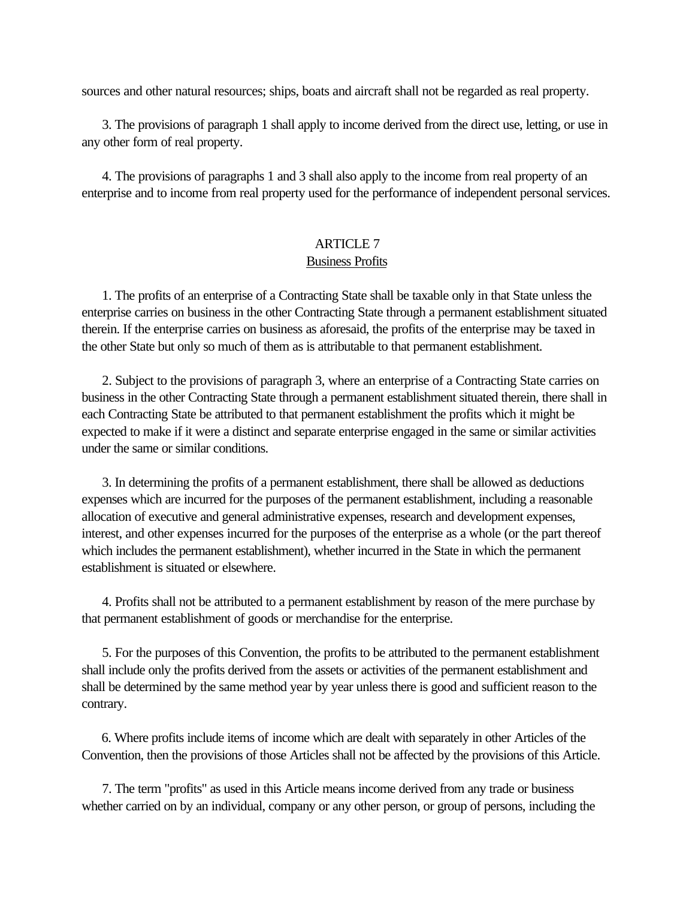<span id="page-9-0"></span>sources and other natural resources; ships, boats and aircraft shall not be regarded as real property.

 3. The provisions of paragraph 1 shall apply to income derived from the direct use, letting, or use in any other form of real property.

 4. The provisions of paragraphs 1 and 3 shall also apply to the income from real property of an enterprise and to income from real property used for the performance of independent personal services.

# ARTICLE 7 Business Profits

 1. The profits of an enterprise of a Contracting State shall be taxable only in that State unless the enterprise carries on business in the other Contracting State through a permanent establishment situated therein. If the enterprise carries on business as aforesaid, the profits of the enterprise may be taxed in the other State but only so much of them as is attributable to that permanent establishment.

 2. Subject to the provisions of paragraph 3, where an enterprise of a Contracting State carries on business in the other Contracting State through a permanent establishment situated therein, there shall in each Contracting State be attributed to that permanent establishment the profits which it might be expected to make if it were a distinct and separate enterprise engaged in the same or similar activities under the same or similar conditions.

 3. In determining the profits of a permanent establishment, there shall be allowed as deductions expenses which are incurred for the purposes of the permanent establishment, including a reasonable allocation of executive and general administrative expenses, research and development expenses, interest, and other expenses incurred for the purposes of the enterprise as a whole (or the part thereof which includes the permanent establishment), whether incurred in the State in which the permanent establishment is situated or elsewhere.

 4. Profits shall not be attributed to a permanent establishment by reason of the mere purchase by that permanent establishment of goods or merchandise for the enterprise.

 5. For the purposes of this Convention, the profits to be attributed to the permanent establishment shall include only the profits derived from the assets or activities of the permanent establishment and shall be determined by the same method year by year unless there is good and sufficient reason to the contrary.

 6. Where profits include items of income which are dealt with separately in other Articles of the Convention, then the provisions of those Articles shall not be affected by the provisions of this Article.

 7. The term "profits" as used in this Article means income derived from any trade or business whether carried on by an individual, company or any other person, or group of persons, including the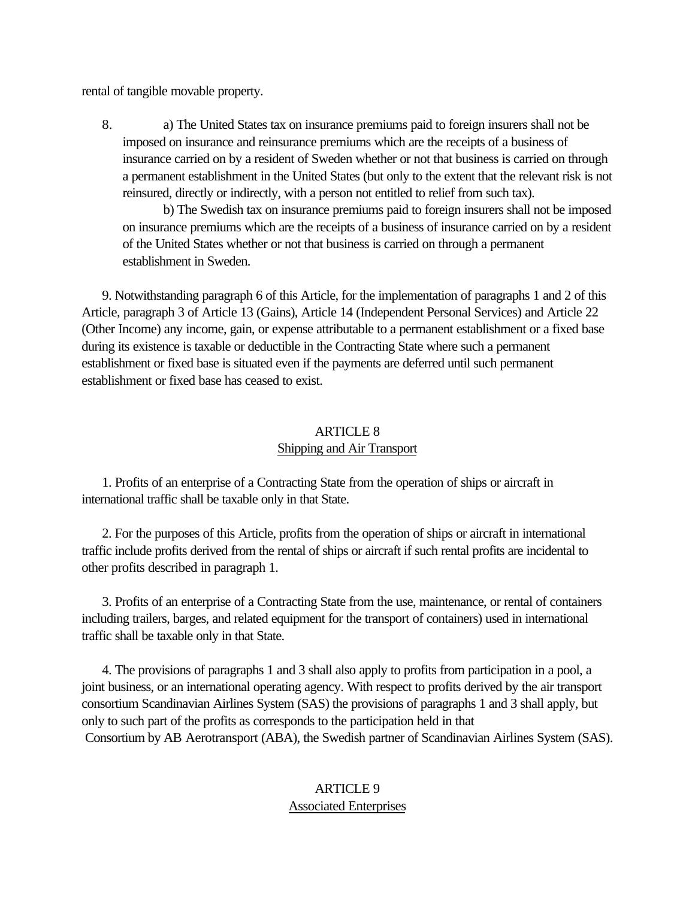<span id="page-10-0"></span>rental of tangible movable property.

 8. a) The United States tax on insurance premiums paid to foreign insurers shall not be imposed on insurance and reinsurance premiums which are the receipts of a business of insurance carried on by a resident of Sweden whether or not that business is carried on through a permanent establishment in the United States (but only to the extent that the relevant risk is not reinsured, directly or indirectly, with a person not entitled to relief from such tax).

b) The Swedish tax on insurance premiums paid to foreign insurers shall not be imposed on insurance premiums which are the receipts of a business of insurance carried on by a resident of the United States whether or not that business is carried on through a permanent establishment in Sweden.

 9. Notwithstanding paragraph 6 of this Article, for the implementation of paragraphs 1 and 2 of this Article, paragraph 3 of Article 13 (Gains), Article 14 (Independent Personal Services) and Article 22 (Other Income) any income, gain, or expense attributable to a permanent establishment or a fixed base during its existence is taxable or deductible in the Contracting State where such a permanent establishment or fixed base is situated even if the payments are deferred until such permanent establishment or fixed base has ceased to exist.

# ARTICLE 8 Shipping and Air Transport

 1. Profits of an enterprise of a Contracting State from the operation of ships or aircraft in international traffic shall be taxable only in that State.

 2. For the purposes of this Article, profits from the operation of ships or aircraft in international traffic include profits derived from the rental of ships or aircraft if such rental profits are incidental to other profits described in paragraph 1.

 3. Profits of an enterprise of a Contracting State from the use, maintenance, or rental of containers including trailers, barges, and related equipment for the transport of containers) used in international traffic shall be taxable only in that State.

 4. The provisions of paragraphs 1 and 3 shall also apply to profits from participation in a pool, a joint business, or an international operating agency. With respect to profits derived by the air transport consortium Scandinavian Airlines System (SAS) the provisions of paragraphs 1 and 3 shall apply, but only to such part of the profits as corresponds to the participation held in that

Consortium by AB Aerotransport (ABA), the Swedish partner of Scandinavian Airlines System (SAS).

# ARTICLE 9 Associated Enterprises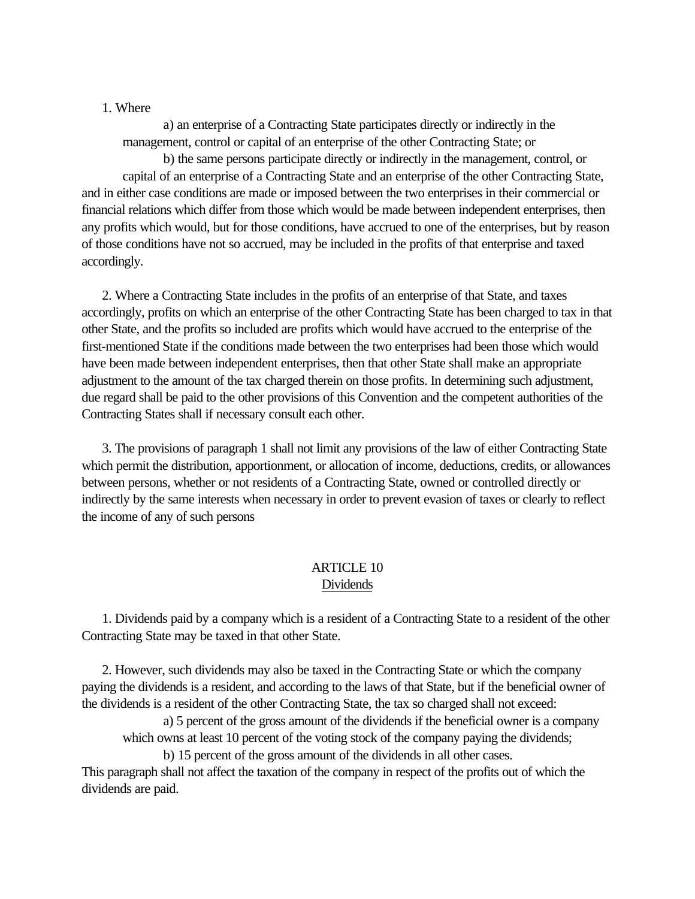#### <span id="page-11-0"></span>1. Where

a) an enterprise of a Contracting State participates directly or indirectly in the management, control or capital of an enterprise of the other Contracting State; or

b) the same persons participate directly or indirectly in the management, control, or capital of an enterprise of a Contracting State and an enterprise of the other Contracting State, and in either case conditions are made or imposed between the two enterprises in their commercial or financial relations which differ from those which would be made between independent enterprises, then any profits which would, but for those conditions, have accrued to one of the enterprises, but by reason of those conditions have not so accrued, may be included in the profits of that enterprise and taxed accordingly.

 2. Where a Contracting State includes in the profits of an enterprise of that State, and taxes accordingly, profits on which an enterprise of the other Contracting State has been charged to tax in that other State, and the profits so included are profits which would have accrued to the enterprise of the first-mentioned State if the conditions made between the two enterprises had been those which would have been made between independent enterprises, then that other State shall make an appropriate adjustment to the amount of the tax charged therein on those profits. In determining such adjustment, due regard shall be paid to the other provisions of this Convention and the competent authorities of the Contracting States shall if necessary consult each other.

 3. The provisions of paragraph 1 shall not limit any provisions of the law of either Contracting State which permit the distribution, apportionment, or allocation of income, deductions, credits, or allowances between persons, whether or not residents of a Contracting State, owned or controlled directly or indirectly by the same interests when necessary in order to prevent evasion of taxes or clearly to reflect the income of any of such persons

#### ARTICLE 10 Dividends

 1. Dividends paid by a company which is a resident of a Contracting State to a resident of the other Contracting State may be taxed in that other State.

 2. However, such dividends may also be taxed in the Contracting State or which the company paying the dividends is a resident, and according to the laws of that State, but if the beneficial owner of the dividends is a resident of the other Contracting State, the tax so charged shall not exceed:

a) 5 percent of the gross amount of the dividends if the beneficial owner is a company which owns at least 10 percent of the voting stock of the company paying the dividends;

b) 15 percent of the gross amount of the dividends in all other cases. This paragraph shall not affect the taxation of the company in respect of the profits out of which the dividends are paid.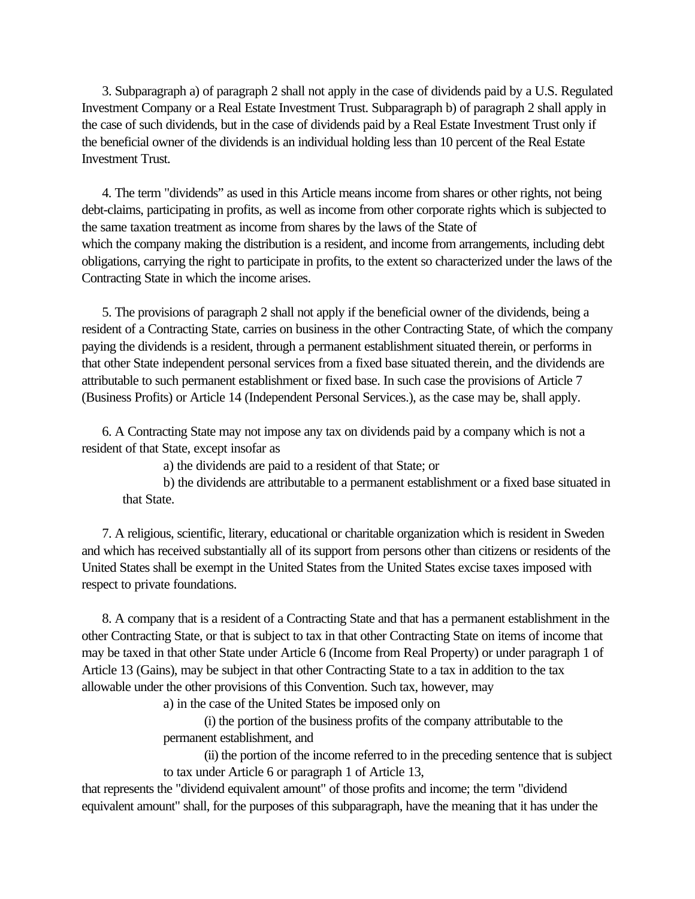3. Subparagraph a) of paragraph 2 shall not apply in the case of dividends paid by a U.S. Regulated Investment Company or a Real Estate Investment Trust. Subparagraph b) of paragraph 2 shall apply in the case of such dividends, but in the case of dividends paid by a Real Estate Investment Trust only if the beneficial owner of the dividends is an individual holding less than 10 percent of the Real Estate Investment Trust.

 4. The term "dividends" as used in this Article means income from shares or other rights, not being debt-claims, participating in profits, as well as income from other corporate rights which is subjected to the same taxation treatment as income from shares by the laws of the State of which the company making the distribution is a resident, and income from arrangements, including debt obligations, carrying the right to participate in profits, to the extent so characterized under the laws of the Contracting State in which the income arises.

 5. The provisions of paragraph 2 shall not apply if the beneficial owner of the dividends, being a resident of a Contracting State, carries on business in the other Contracting State, of which the company paying the dividends is a resident, through a permanent establishment situated therein, or performs in that other State independent personal services from a fixed base situated therein, and the dividends are attributable to such permanent establishment or fixed base. In such case the provisions of Article 7 (Business Profits) or Article 14 (Independent Personal Services.), as the case may be, shall apply.

 6. A Contracting State may not impose any tax on dividends paid by a company which is not a resident of that State, except insofar as

a) the dividends are paid to a resident of that State; or

b) the dividends are attributable to a permanent establishment or a fixed base situated in that State.

 7. A religious, scientific, literary, educational or charitable organization which is resident in Sweden and which has received substantially all of its support from persons other than citizens or residents of the United States shall be exempt in the United States from the United States excise taxes imposed with respect to private foundations.

 8. A company that is a resident of a Contracting State and that has a permanent establishment in the other Contracting State, or that is subject to tax in that other Contracting State on items of income that may be taxed in that other State under Article 6 (Income from Real Property) or under paragraph 1 of Article 13 (Gains), may be subject in that other Contracting State to a tax in addition to the tax allowable under the other provisions of this Convention. Such tax, however, may

a) in the case of the United States be imposed only on

(i) the portion of the business profits of the company attributable to the permanent establishment, and

(ii) the portion of the income referred to in the preceding sentence that is subject to tax under Article 6 or paragraph 1 of Article 13,

that represents the "dividend equivalent amount" of those profits and income; the term "dividend equivalent amount" shall, for the purposes of this subparagraph, have the meaning that it has under the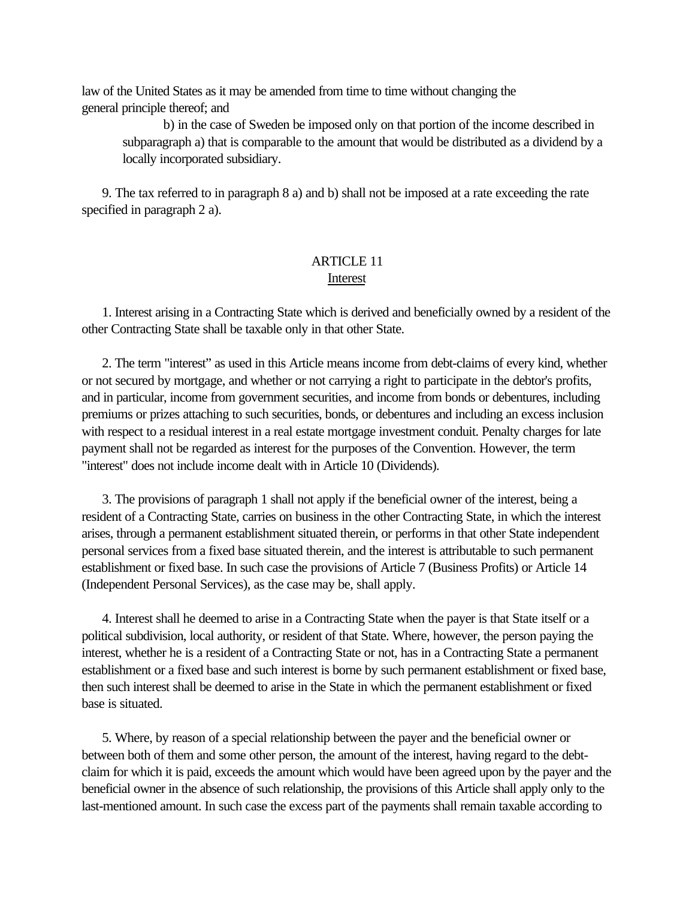<span id="page-13-0"></span>law of the United States as it may be amended from time to time without changing the general principle thereof; and

b) in the case of Sweden be imposed only on that portion of the income described in subparagraph a) that is comparable to the amount that would be distributed as a dividend by a locally incorporated subsidiary.

 9. The tax referred to in paragraph 8 a) and b) shall not be imposed at a rate exceeding the rate specified in paragraph 2 a).

#### ARTICLE 11 Interest

 1. Interest arising in a Contracting State which is derived and beneficially owned by a resident of the other Contracting State shall be taxable only in that other State.

 2. The term "interest" as used in this Article means income from debt-claims of every kind, whether or not secured by mortgage, and whether or not carrying a right to participate in the debtor's profits, and in particular, income from government securities, and income from bonds or debentures, including premiums or prizes attaching to such securities, bonds, or debentures and including an excess inclusion with respect to a residual interest in a real estate mortgage investment conduit. Penalty charges for late payment shall not be regarded as interest for the purposes of the Convention. However, the term "interest" does not include income dealt with in Article 10 (Dividends).

 3. The provisions of paragraph 1 shall not apply if the beneficial owner of the interest, being a resident of a Contracting State, carries on business in the other Contracting State, in which the interest arises, through a permanent establishment situated therein, or performs in that other State independent personal services from a fixed base situated therein, and the interest is attributable to such permanent establishment or fixed base. In such case the provisions of Article 7 (Business Profits) or Article 14 (Independent Personal Services), as the case may be, shall apply.

 4. Interest shall he deemed to arise in a Contracting State when the payer is that State itself or a political subdivision, local authority, or resident of that State. Where, however, the person paying the interest, whether he is a resident of a Contracting State or not, has in a Contracting State a permanent establishment or a fixed base and such interest is borne by such permanent establishment or fixed base, then such interest shall be deemed to arise in the State in which the permanent establishment or fixed base is situated.

 5. Where, by reason of a special relationship between the payer and the beneficial owner or between both of them and some other person, the amount of the interest, having regard to the debtclaim for which it is paid, exceeds the amount which would have been agreed upon by the payer and the beneficial owner in the absence of such relationship, the provisions of this Article shall apply only to the last-mentioned amount. In such case the excess part of the payments shall remain taxable according to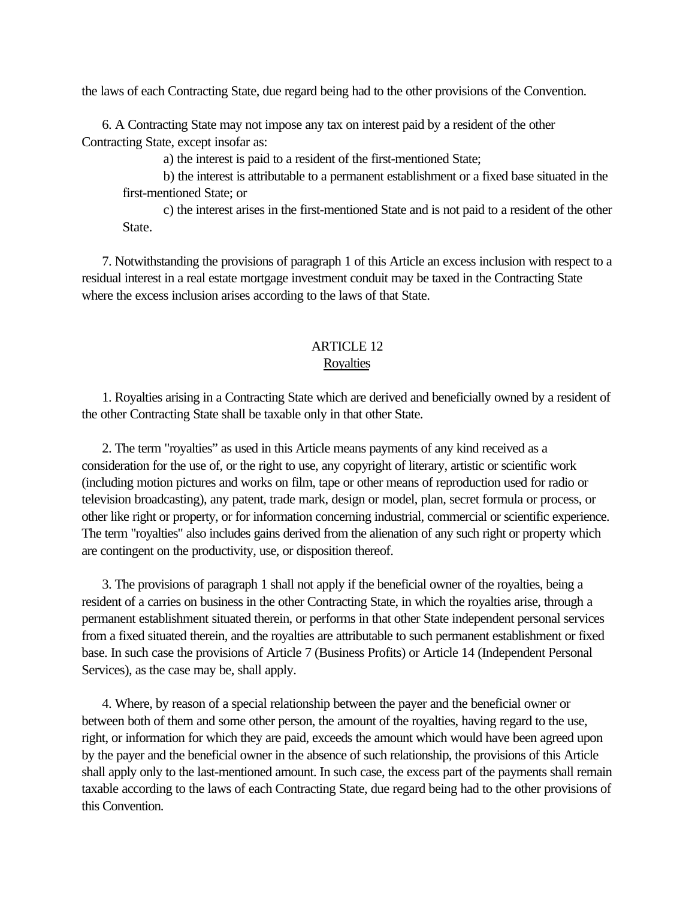<span id="page-14-0"></span>the laws of each Contracting State, due regard being had to the other provisions of the Convention.

 6. A Contracting State may not impose any tax on interest paid by a resident of the other Contracting State, except insofar as:

a) the interest is paid to a resident of the first-mentioned State;

b) the interest is attributable to a permanent establishment or a fixed base situated in the first-mentioned State; or

c) the interest arises in the first-mentioned State and is not paid to a resident of the other State.

 7. Notwithstanding the provisions of paragraph 1 of this Article an excess inclusion with respect to a residual interest in a real estate mortgage investment conduit may be taxed in the Contracting State where the excess inclusion arises according to the laws of that State.

#### ARTICLE 12 **Royalties**

 1. Royalties arising in a Contracting State which are derived and beneficially owned by a resident of the other Contracting State shall be taxable only in that other State.

 2. The term "royalties" as used in this Article means payments of any kind received as a consideration for the use of, or the right to use, any copyright of literary, artistic or scientific work (including motion pictures and works on film, tape or other means of reproduction used for radio or television broadcasting), any patent, trade mark, design or model, plan, secret formula or process, or other like right or property, or for information concerning industrial, commercial or scientific experience. The term "royalties" also includes gains derived from the alienation of any such right or property which are contingent on the productivity, use, or disposition thereof.

 3. The provisions of paragraph 1 shall not apply if the beneficial owner of the royalties, being a resident of a carries on business in the other Contracting State, in which the royalties arise, through a permanent establishment situated therein, or performs in that other State independent personal services from a fixed situated therein, and the royalties are attributable to such permanent establishment or fixed base. In such case the provisions of Article 7 (Business Profits) or Article 14 (Independent Personal Services), as the case may be, shall apply.

 4. Where, by reason of a special relationship between the payer and the beneficial owner or between both of them and some other person, the amount of the royalties, having regard to the use, right, or information for which they are paid, exceeds the amount which would have been agreed upon by the payer and the beneficial owner in the absence of such relationship, the provisions of this Article shall apply only to the last-mentioned amount. In such case, the excess part of the payments shall remain taxable according to the laws of each Contracting State, due regard being had to the other provisions of this Convention.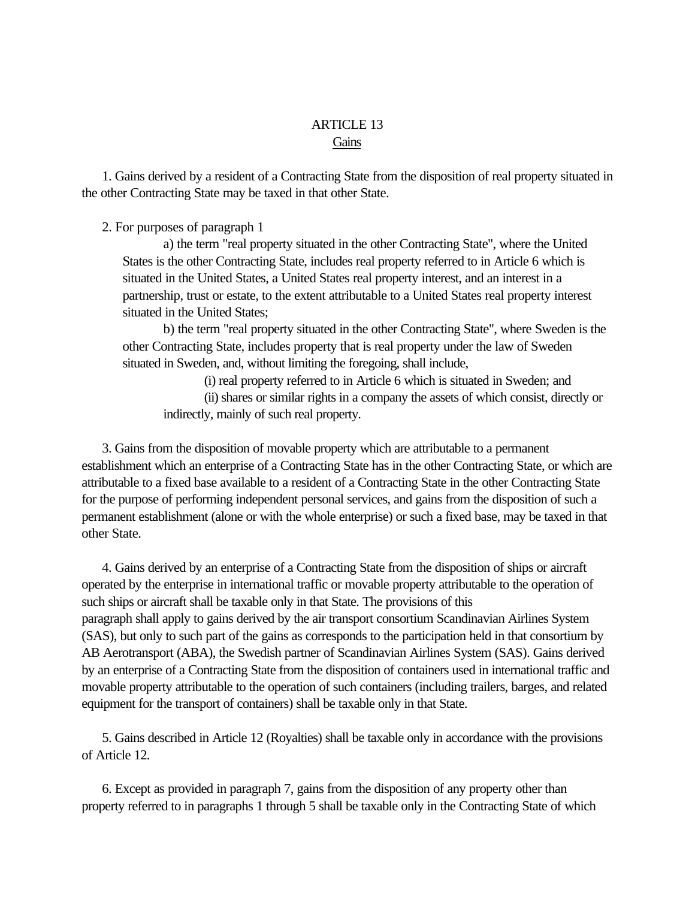# ARTICLE 13 **Gains**

<span id="page-15-0"></span> 1. Gains derived by a resident of a Contracting State from the disposition of real property situated in the other Contracting State may be taxed in that other State.

2. For purposes of paragraph 1

a) the term "real property situated in the other Contracting State", where the United States is the other Contracting State, includes real property referred to in Article 6 which is situated in the United States, a United States real property interest, and an interest in a partnership, trust or estate, to the extent attributable to a United States real property interest situated in the United States;

b) the term "real property situated in the other Contracting State", where Sweden is the other Contracting State, includes property that is real property under the law of Sweden situated in Sweden, and, without limiting the foregoing, shall include,

(i) real property referred to in Article 6 which is situated in Sweden; and (ii) shares or similar rights in a company the assets of which consist, directly or indirectly, mainly of such real property.

 3. Gains from the disposition of movable property which are attributable to a permanent establishment which an enterprise of a Contracting State has in the other Contracting State, or which are attributable to a fixed base available to a resident of a Contracting State in the other Contracting State for the purpose of performing independent personal services, and gains from the disposition of such a permanent establishment (alone or with the whole enterprise) or such a fixed base, may be taxed in that other State.

 4. Gains derived by an enterprise of a Contracting State from the disposition of ships or aircraft operated by the enterprise in international traffic or movable property attributable to the operation of such ships or aircraft shall be taxable only in that State. The provisions of this paragraph shall apply to gains derived by the air transport consortium Scandinavian Airlines System (SAS), but only to such part of the gains as corresponds to the participation held in that consortium by AB Aerotransport (ABA), the Swedish partner of Scandinavian Airlines System (SAS). Gains derived by an enterprise of a Contracting State from the disposition of containers used in international traffic and movable property attributable to the operation of such containers (including trailers, barges, and related equipment for the transport of containers) shall be taxable only in that State.

 5. Gains described in Article 12 (Royalties) shall be taxable only in accordance with the provisions of Article 12.

 6. Except as provided in paragraph 7, gains from the disposition of any property other than property referred to in paragraphs 1 through 5 shall be taxable only in the Contracting State of which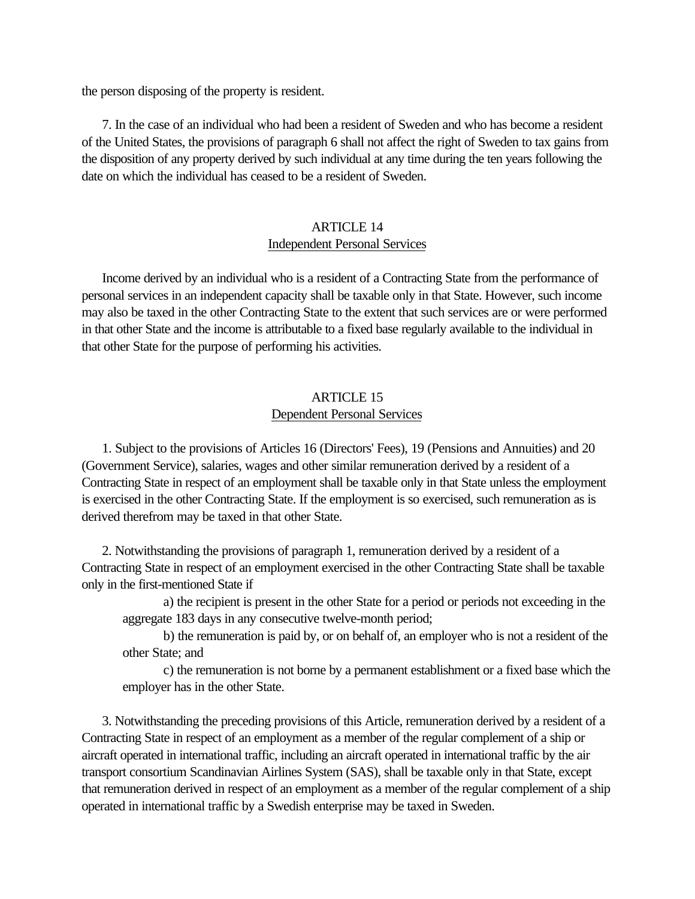<span id="page-16-0"></span>the person disposing of the property is resident.

 7. In the case of an individual who had been a resident of Sweden and who has become a resident of the United States, the provisions of paragraph 6 shall not affect the right of Sweden to tax gains from the disposition of any property derived by such individual at any time during the ten years following the date on which the individual has ceased to be a resident of Sweden.

# ARTICLE 14 Independent Personal Services

 Income derived by an individual who is a resident of a Contracting State from the performance of personal services in an independent capacity shall be taxable only in that State. However, such income may also be taxed in the other Contracting State to the extent that such services are or were performed in that other State and the income is attributable to a fixed base regularly available to the individual in that other State for the purpose of performing his activities.

#### ARTICLE 15 Dependent Personal Services

 1. Subject to the provisions of Articles 16 (Directors' Fees), 19 (Pensions and Annuities) and 20 (Government Service), salaries, wages and other similar remuneration derived by a resident of a Contracting State in respect of an employment shall be taxable only in that State unless the employment is exercised in the other Contracting State. If the employment is so exercised, such remuneration as is derived therefrom may be taxed in that other State.

 2. Notwithstanding the provisions of paragraph 1, remuneration derived by a resident of a Contracting State in respect of an employment exercised in the other Contracting State shall be taxable only in the first-mentioned State if

a) the recipient is present in the other State for a period or periods not exceeding in the aggregate 183 days in any consecutive twelve-month period;

b) the remuneration is paid by, or on behalf of, an employer who is not a resident of the other State; and

c) the remuneration is not borne by a permanent establishment or a fixed base which the employer has in the other State.

 3. Notwithstanding the preceding provisions of this Article, remuneration derived by a resident of a Contracting State in respect of an employment as a member of the regular complement of a ship or aircraft operated in international traffic, including an aircraft operated in international traffic by the air transport consortium Scandinavian Airlines System (SAS), shall be taxable only in that State, except that remuneration derived in respect of an employment as a member of the regular complement of a ship operated in international traffic by a Swedish enterprise may be taxed in Sweden.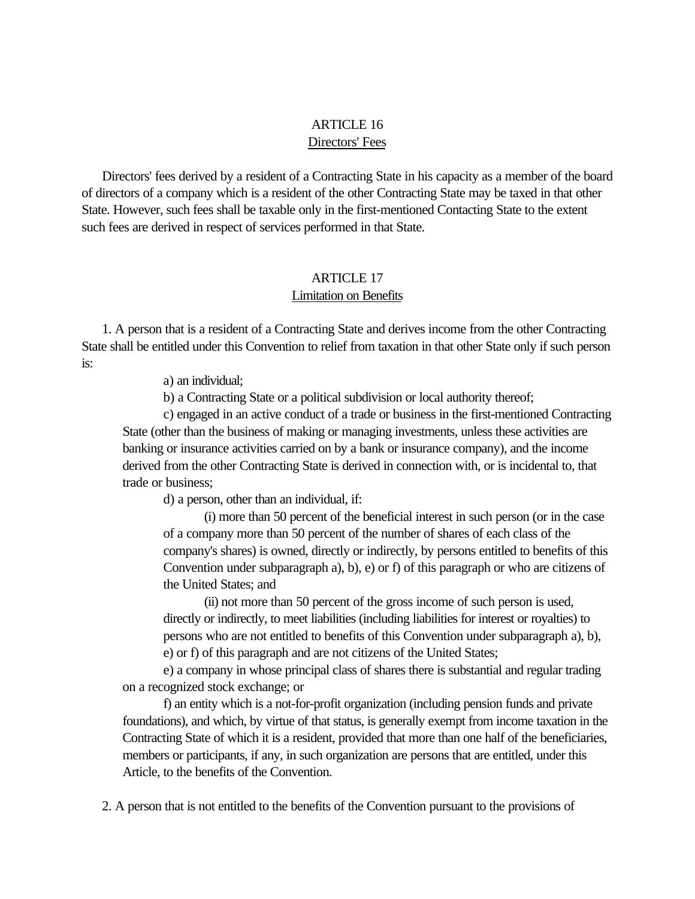# ARTICLE 16 Directors' Fees

<span id="page-17-0"></span> Directors' fees derived by a resident of a Contracting State in his capacity as a member of the board of directors of a company which is a resident of the other Contracting State may be taxed in that other State. However, such fees shall be taxable only in the first-mentioned Contacting State to the extent such fees are derived in respect of services performed in that State.

#### ARTICLE 17 Limitation on Benefits

 1. A person that is a resident of a Contracting State and derives income from the other Contracting State shall be entitled under this Convention to relief from taxation in that other State only if such person is:

a) an individual;

b) a Contracting State or a political subdivision or local authority thereof;

c) engaged in an active conduct of a trade or business in the first-mentioned Contracting State (other than the business of making or managing investments, unless these activities are banking or insurance activities carried on by a bank or insurance company), and the income derived from the other Contracting State is derived in connection with, or is incidental to, that trade or business;

d) a person, other than an individual, if:

(i) more than 50 percent of the beneficial interest in such person (or in the case of a company more than 50 percent of the number of shares of each class of the company's shares) is owned, directly or indirectly, by persons entitled to benefits of this Convention under subparagraph a), b), e) or f) of this paragraph or who are citizens of the United States; and

(ii) not more than 50 percent of the gross income of such person is used, directly or indirectly, to meet liabilities (including liabilities for interest or royalties) to persons who are not entitled to benefits of this Convention under subparagraph a), b), e) or f) of this paragraph and are not citizens of the United States;

e) a company in whose principal class of shares there is substantial and regular trading on a recognized stock exchange; or

f) an entity which is a not-for-profit organization (including pension funds and private foundations), and which, by virtue of that status, is generally exempt from income taxation in the Contracting State of which it is a resident, provided that more than one half of the beneficiaries, members or participants, if any, in such organization are persons that are entitled, under this Article, to the benefits of the Convention.

2. A person that is not entitled to the benefits of the Convention pursuant to the provisions of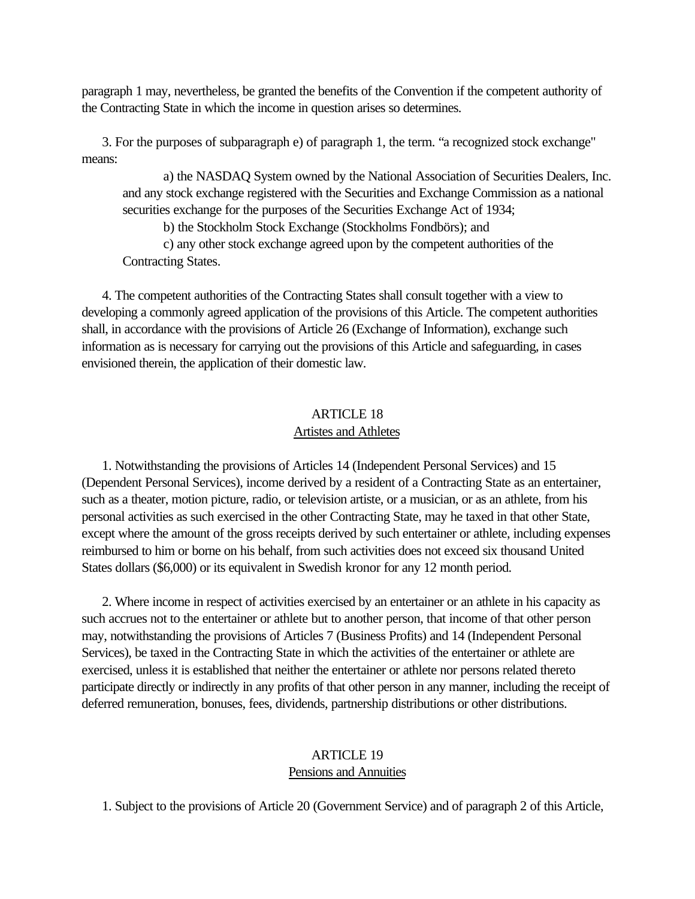<span id="page-18-0"></span>paragraph 1 may, nevertheless, be granted the benefits of the Convention if the competent authority of the Contracting State in which the income in question arises so determines.

 3. For the purposes of subparagraph e) of paragraph 1, the term. "a recognized stock exchange" means:

a) the NASDAQ System owned by the National Association of Securities Dealers, Inc. and any stock exchange registered with the Securities and Exchange Commission as a national securities exchange for the purposes of the Securities Exchange Act of 1934;

b) the Stockholm Stock Exchange (Stockholms Fondbörs); and

c) any other stock exchange agreed upon by the competent authorities of the Contracting States.

 4. The competent authorities of the Contracting States shall consult together with a view to developing a commonly agreed application of the provisions of this Article. The competent authorities shall, in accordance with the provisions of Article 26 (Exchange of Information), exchange such information as is necessary for carrying out the provisions of this Article and safeguarding, in cases envisioned therein, the application of their domestic law.

# ARTICLE 18

# Artistes and Athletes

 1. Notwithstanding the provisions of Articles 14 (Independent Personal Services) and 15 (Dependent Personal Services), income derived by a resident of a Contracting State as an entertainer, such as a theater, motion picture, radio, or television artiste, or a musician, or as an athlete, from his personal activities as such exercised in the other Contracting State, may he taxed in that other State, except where the amount of the gross receipts derived by such entertainer or athlete, including expenses reimbursed to him or borne on his behalf, from such activities does not exceed six thousand United States dollars (\$6,000) or its equivalent in Swedish kronor for any 12 month period.

 2. Where income in respect of activities exercised by an entertainer or an athlete in his capacity as such accrues not to the entertainer or athlete but to another person, that income of that other person may, notwithstanding the provisions of Articles 7 (Business Profits) and 14 (Independent Personal Services), be taxed in the Contracting State in which the activities of the entertainer or athlete are exercised, unless it is established that neither the entertainer or athlete nor persons related thereto participate directly or indirectly in any profits of that other person in any manner, including the receipt of deferred remuneration, bonuses, fees, dividends, partnership distributions or other distributions.

# ARTICLE 19

## Pensions and Annuities

1. Subject to the provisions of Article 20 (Government Service) and of paragraph 2 of this Article,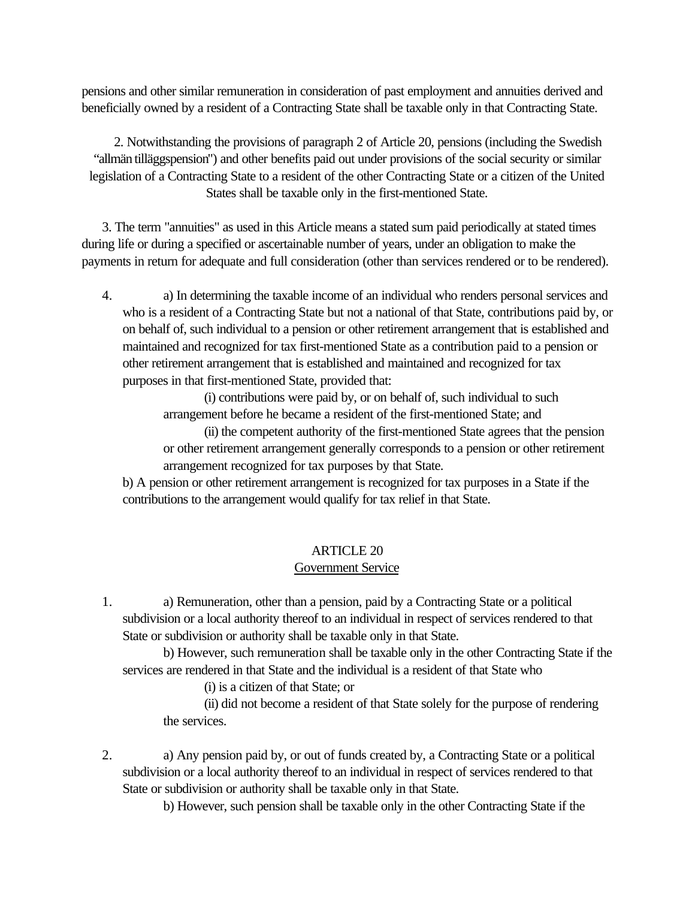<span id="page-19-0"></span>pensions and other similar remuneration in consideration of past employment and annuities derived and beneficially owned by a resident of a Contracting State shall be taxable only in that Contracting State.

 2. Notwithstanding the provisions of paragraph 2 of Article 20, pensions (including the Swedish "allmän tilläggspension") and other benefits paid out under provisions of the social security or similar legislation of a Contracting State to a resident of the other Contracting State or a citizen of the United States shall be taxable only in the first-mentioned State.

 3. The term "annuities" as used in this Article means a stated sum paid periodically at stated times during life or during a specified or ascertainable number of years, under an obligation to make the payments in return for adequate and full consideration (other than services rendered or to be rendered).

 4. a) In determining the taxable income of an individual who renders personal services and who is a resident of a Contracting State but not a national of that State, contributions paid by, or on behalf of, such individual to a pension or other retirement arrangement that is established and maintained and recognized for tax first-mentioned State as a contribution paid to a pension or other retirement arrangement that is established and maintained and recognized for tax purposes in that first-mentioned State, provided that:

> (i) contributions were paid by, or on behalf of, such individual to such arrangement before he became a resident of the first-mentioned State; and

(ii) the competent authority of the first-mentioned State agrees that the pension or other retirement arrangement generally corresponds to a pension or other retirement arrangement recognized for tax purposes by that State.

b) A pension or other retirement arrangement is recognized for tax purposes in a State if the contributions to the arrangement would qualify for tax relief in that State.

# ARTICLE 20

# Government Service

 1. a) Remuneration, other than a pension, paid by a Contracting State or a political subdivision or a local authority thereof to an individual in respect of services rendered to that State or subdivision or authority shall be taxable only in that State.

b) However, such remuneration shall be taxable only in the other Contracting State if the services are rendered in that State and the individual is a resident of that State who

(i) is a citizen of that State; or

(ii) did not become a resident of that State solely for the purpose of rendering the services.

 2. a) Any pension paid by, or out of funds created by, a Contracting State or a political subdivision or a local authority thereof to an individual in respect of services rendered to that State or subdivision or authority shall be taxable only in that State.

b) However, such pension shall be taxable only in the other Contracting State if the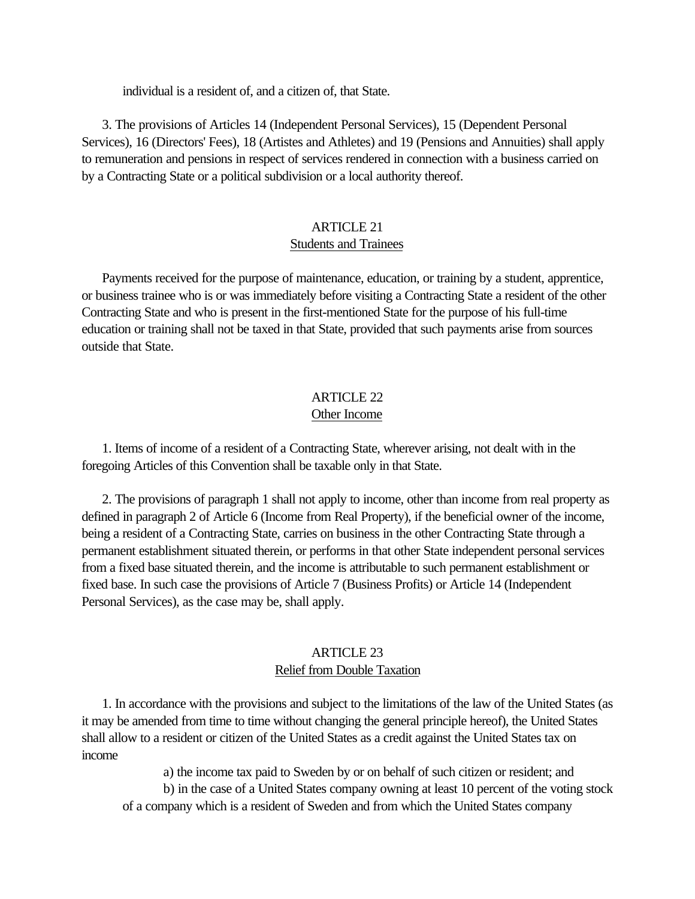individual is a resident of, and a citizen of, that State.

<span id="page-20-0"></span> 3. The provisions of Articles 14 (Independent Personal Services), 15 (Dependent Personal Services), 16 (Directors' Fees), 18 (Artistes and Athletes) and 19 (Pensions and Annuities) shall apply to remuneration and pensions in respect of services rendered in connection with a business carried on by a Contracting State or a political subdivision or a local authority thereof.

# ARTICLE 21 Students and Trainees

 Payments received for the purpose of maintenance, education, or training by a student, apprentice, or business trainee who is or was immediately before visiting a Contracting State a resident of the other Contracting State and who is present in the first-mentioned State for the purpose of his full-time education or training shall not be taxed in that State, provided that such payments arise from sources outside that State.

#### ARTICLE 22 Other Income

 1. Items of income of a resident of a Contracting State, wherever arising, not dealt with in the foregoing Articles of this Convention shall be taxable only in that State.

 2. The provisions of paragraph 1 shall not apply to income, other than income from real property as defined in paragraph 2 of Article 6 (Income from Real Property), if the beneficial owner of the income, being a resident of a Contracting State, carries on business in the other Contracting State through a permanent establishment situated therein, or performs in that other State independent personal services from a fixed base situated therein, and the income is attributable to such permanent establishment or fixed base. In such case the provisions of Article 7 (Business Profits) or Article 14 (Independent Personal Services), as the case may be, shall apply.

# ARTICLE 23 Relief from Double Taxation

 1. In accordance with the provisions and subject to the limitations of the law of the United States (as it may be amended from time to time without changing the general principle hereof), the United States shall allow to a resident or citizen of the United States as a credit against the United States tax on income

a) the income tax paid to Sweden by or on behalf of such citizen or resident; and b) in the case of a United States company owning at least 10 percent of the voting stock of a company which is a resident of Sweden and from which the United States company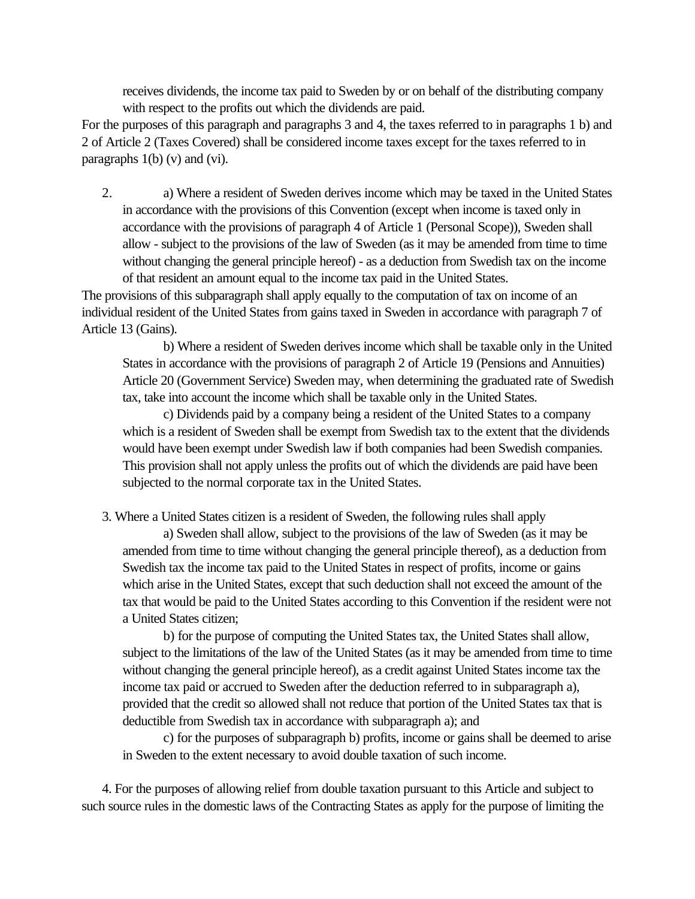receives dividends, the income tax paid to Sweden by or on behalf of the distributing company with respect to the profits out which the dividends are paid.

For the purposes of this paragraph and paragraphs 3 and 4, the taxes referred to in paragraphs 1 b) and 2 of Article 2 (Taxes Covered) shall be considered income taxes except for the taxes referred to in paragraphs 1(b) (v) and (vi).

 2. a) Where a resident of Sweden derives income which may be taxed in the United States in accordance with the provisions of this Convention (except when income is taxed only in accordance with the provisions of paragraph 4 of Article 1 (Personal Scope)), Sweden shall allow - subject to the provisions of the law of Sweden (as it may be amended from time to time without changing the general principle hereof) - as a deduction from Swedish tax on the income of that resident an amount equal to the income tax paid in the United States.

The provisions of this subparagraph shall apply equally to the computation of tax on income of an individual resident of the United States from gains taxed in Sweden in accordance with paragraph 7 of Article 13 (Gains).

b) Where a resident of Sweden derives income which shall be taxable only in the United States in accordance with the provisions of paragraph 2 of Article 19 (Pensions and Annuities) Article 20 (Government Service) Sweden may, when determining the graduated rate of Swedish tax, take into account the income which shall be taxable only in the United States.

c) Dividends paid by a company being a resident of the United States to a company which is a resident of Sweden shall be exempt from Swedish tax to the extent that the dividends would have been exempt under Swedish law if both companies had been Swedish companies. This provision shall not apply unless the profits out of which the dividends are paid have been subjected to the normal corporate tax in the United States.

3. Where a United States citizen is a resident of Sweden, the following rules shall apply

a) Sweden shall allow, subject to the provisions of the law of Sweden (as it may be amended from time to time without changing the general principle thereof), as a deduction from Swedish tax the income tax paid to the United States in respect of profits, income or gains which arise in the United States, except that such deduction shall not exceed the amount of the tax that would be paid to the United States according to this Convention if the resident were not a United States citizen;

b) for the purpose of computing the United States tax, the United States shall allow, subject to the limitations of the law of the United States (as it may be amended from time to time without changing the general principle hereof), as a credit against United States income tax the income tax paid or accrued to Sweden after the deduction referred to in subparagraph a), provided that the credit so allowed shall not reduce that portion of the United States tax that is deductible from Swedish tax in accordance with subparagraph a); and

c) for the purposes of subparagraph b) profits, income or gains shall be deemed to arise in Sweden to the extent necessary to avoid double taxation of such income.

 4. For the purposes of allowing relief from double taxation pursuant to this Article and subject to such source rules in the domestic laws of the Contracting States as apply for the purpose of limiting the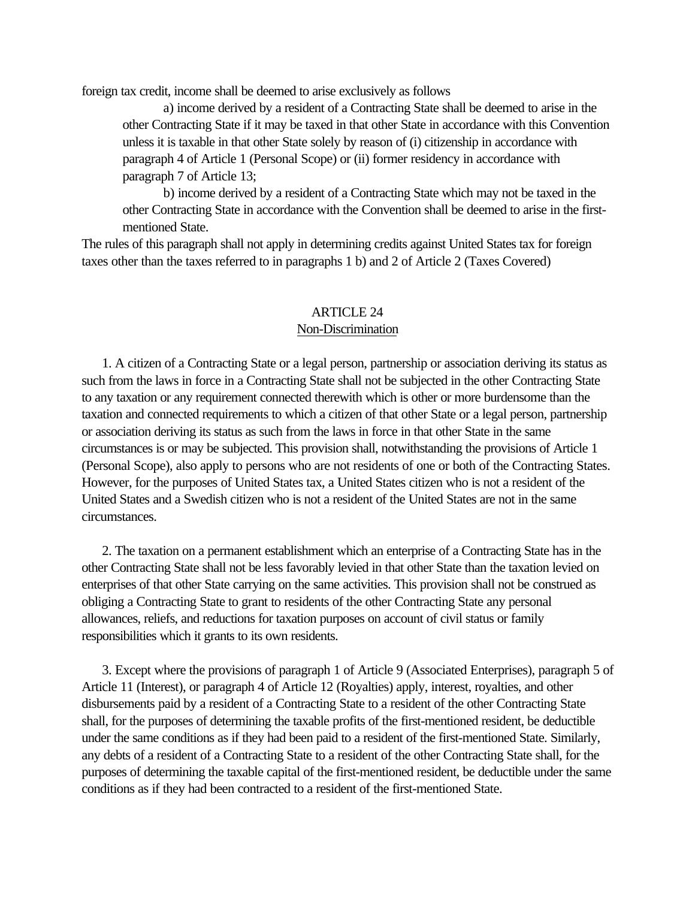<span id="page-22-0"></span>foreign tax credit, income shall be deemed to arise exclusively as follows

a) income derived by a resident of a Contracting State shall be deemed to arise in the other Contracting State if it may be taxed in that other State in accordance with this Convention unless it is taxable in that other State solely by reason of (i) citizenship in accordance with paragraph 4 of Article 1 (Personal Scope) or (ii) former residency in accordance with paragraph 7 of Article 13;

b) income derived by a resident of a Contracting State which may not be taxed in the other Contracting State in accordance with the Convention shall be deemed to arise in the firstmentioned State.

The rules of this paragraph shall not apply in determining credits against United States tax for foreign taxes other than the taxes referred to in paragraphs 1 b) and 2 of Article 2 (Taxes Covered)

#### ARTICLE 24

#### Non-Discrimination

 1. A citizen of a Contracting State or a legal person, partnership or association deriving its status as such from the laws in force in a Contracting State shall not be subjected in the other Contracting State to any taxation or any requirement connected therewith which is other or more burdensome than the taxation and connected requirements to which a citizen of that other State or a legal person, partnership or association deriving its status as such from the laws in force in that other State in the same circumstances is or may be subjected. This provision shall, notwithstanding the provisions of Article 1 (Personal Scope), also apply to persons who are not residents of one or both of the Contracting States. However, for the purposes of United States tax, a United States citizen who is not a resident of the United States and a Swedish citizen who is not a resident of the United States are not in the same circumstances.

 2. The taxation on a permanent establishment which an enterprise of a Contracting State has in the other Contracting State shall not be less favorably levied in that other State than the taxation levied on enterprises of that other State carrying on the same activities. This provision shall not be construed as obliging a Contracting State to grant to residents of the other Contracting State any personal allowances, reliefs, and reductions for taxation purposes on account of civil status or family responsibilities which it grants to its own residents.

 3. Except where the provisions of paragraph 1 of Article 9 (Associated Enterprises), paragraph 5 of Article 11 (Interest), or paragraph 4 of Article 12 (Royalties) apply, interest, royalties, and other disbursements paid by a resident of a Contracting State to a resident of the other Contracting State shall, for the purposes of determining the taxable profits of the first-mentioned resident, be deductible under the same conditions as if they had been paid to a resident of the first-mentioned State. Similarly, any debts of a resident of a Contracting State to a resident of the other Contracting State shall, for the purposes of determining the taxable capital of the first-mentioned resident, be deductible under the same conditions as if they had been contracted to a resident of the first-mentioned State.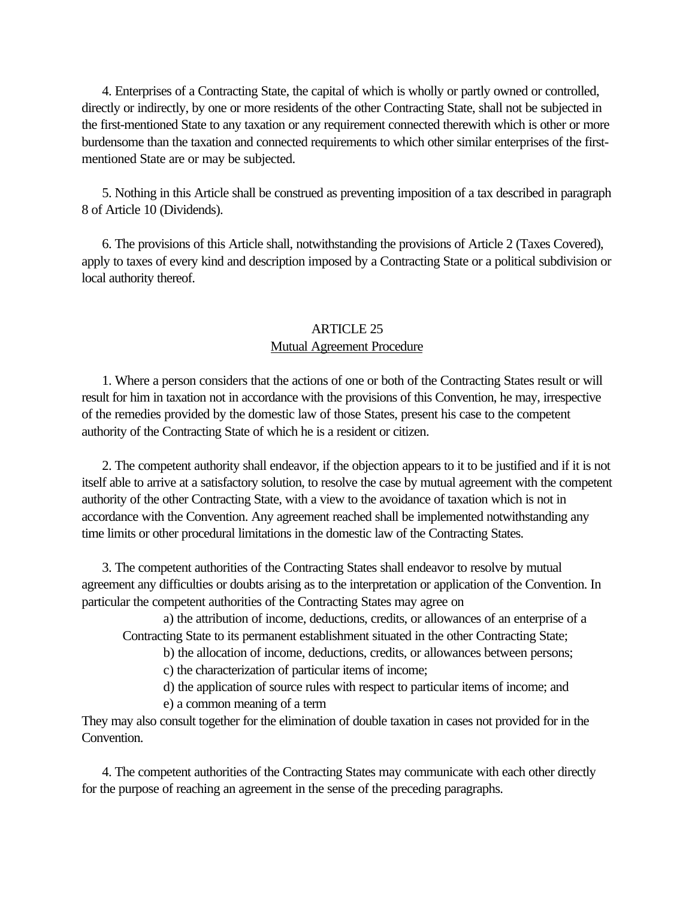<span id="page-23-0"></span> 4. Enterprises of a Contracting State, the capital of which is wholly or partly owned or controlled, directly or indirectly, by one or more residents of the other Contracting State, shall not be subjected in the first-mentioned State to any taxation or any requirement connected therewith which is other or more burdensome than the taxation and connected requirements to which other similar enterprises of the firstmentioned State are or may be subjected.

 5. Nothing in this Article shall be construed as preventing imposition of a tax described in paragraph 8 of Article 10 (Dividends).

 6. The provisions of this Article shall, notwithstanding the provisions of Article 2 (Taxes Covered), apply to taxes of every kind and description imposed by a Contracting State or a political subdivision or local authority thereof.

## ARTICLE 25 Mutual Agreement Procedure

 1. Where a person considers that the actions of one or both of the Contracting States result or will result for him in taxation not in accordance with the provisions of this Convention, he may, irrespective of the remedies provided by the domestic law of those States, present his case to the competent authority of the Contracting State of which he is a resident or citizen.

 2. The competent authority shall endeavor, if the objection appears to it to be justified and if it is not itself able to arrive at a satisfactory solution, to resolve the case by mutual agreement with the competent authority of the other Contracting State, with a view to the avoidance of taxation which is not in accordance with the Convention. Any agreement reached shall be implemented notwithstanding any time limits or other procedural limitations in the domestic law of the Contracting States.

 3. The competent authorities of the Contracting States shall endeavor to resolve by mutual agreement any difficulties or doubts arising as to the interpretation or application of the Convention. In particular the competent authorities of the Contracting States may agree on

a) the attribution of income, deductions, credits, or allowances of an enterprise of a Contracting State to its permanent establishment situated in the other Contracting State;

b) the allocation of income, deductions, credits, or allowances between persons;

c) the characterization of particular items of income;

d) the application of source rules with respect to particular items of income; and

e) a common meaning of a term

They may also consult together for the elimination of double taxation in cases not provided for in the Convention.

 4. The competent authorities of the Contracting States may communicate with each other directly for the purpose of reaching an agreement in the sense of the preceding paragraphs.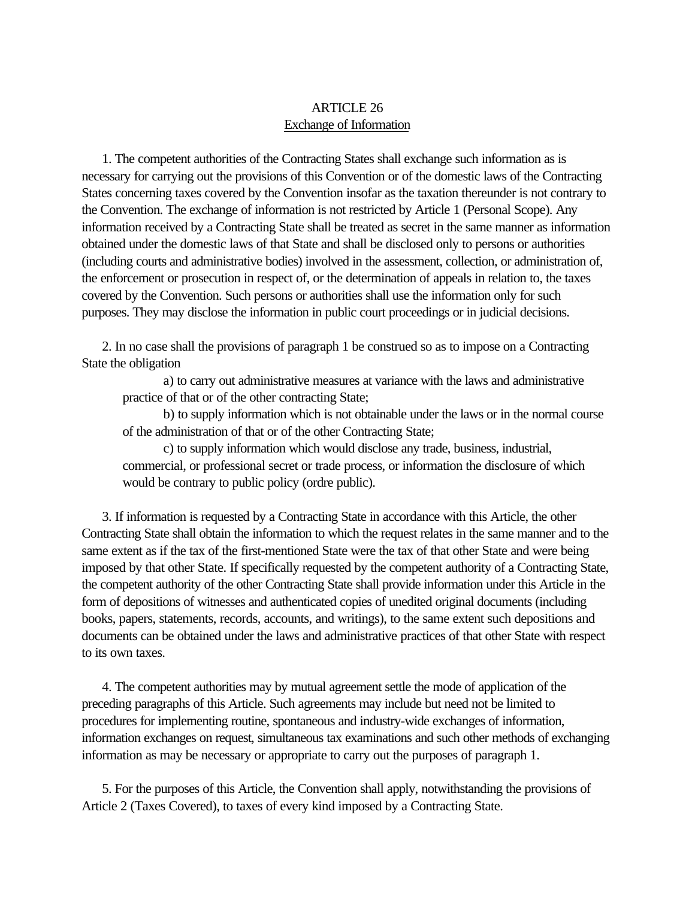# ARTICLE 26 Exchange of Information

<span id="page-24-0"></span> 1. The competent authorities of the Contracting States shall exchange such information as is necessary for carrying out the provisions of this Convention or of the domestic laws of the Contracting States concerning taxes covered by the Convention insofar as the taxation thereunder is not contrary to the Convention. The exchange of information is not restricted by Article 1 (Personal Scope). Any information received by a Contracting State shall be treated as secret in the same manner as information obtained under the domestic laws of that State and shall be disclosed only to persons or authorities (including courts and administrative bodies) involved in the assessment, collection, or administration of, the enforcement or prosecution in respect of, or the determination of appeals in relation to, the taxes covered by the Convention. Such persons or authorities shall use the information only for such purposes. They may disclose the information in public court proceedings or in judicial decisions.

 2. In no case shall the provisions of paragraph 1 be construed so as to impose on a Contracting State the obligation

a) to carry out administrative measures at variance with the laws and administrative practice of that or of the other contracting State;

b) to supply information which is not obtainable under the laws or in the normal course of the administration of that or of the other Contracting State;

c) to supply information which would disclose any trade, business, industrial, commercial, or professional secret or trade process, or information the disclosure of which would be contrary to public policy (ordre public).

 3. If information is requested by a Contracting State in accordance with this Article, the other Contracting State shall obtain the information to which the request relates in the same manner and to the same extent as if the tax of the first-mentioned State were the tax of that other State and were being imposed by that other State. If specifically requested by the competent authority of a Contracting State, the competent authority of the other Contracting State shall provide information under this Article in the form of depositions of witnesses and authenticated copies of unedited original documents (including books, papers, statements, records, accounts, and writings), to the same extent such depositions and documents can be obtained under the laws and administrative practices of that other State with respect to its own taxes.

 4. The competent authorities may by mutual agreement settle the mode of application of the preceding paragraphs of this Article. Such agreements may include but need not be limited to procedures for implementing routine, spontaneous and industry-wide exchanges of information, information exchanges on request, simultaneous tax examinations and such other methods of exchanging information as may be necessary or appropriate to carry out the purposes of paragraph 1.

 5. For the purposes of this Article, the Convention shall apply, notwithstanding the provisions of Article 2 (Taxes Covered), to taxes of every kind imposed by a Contracting State.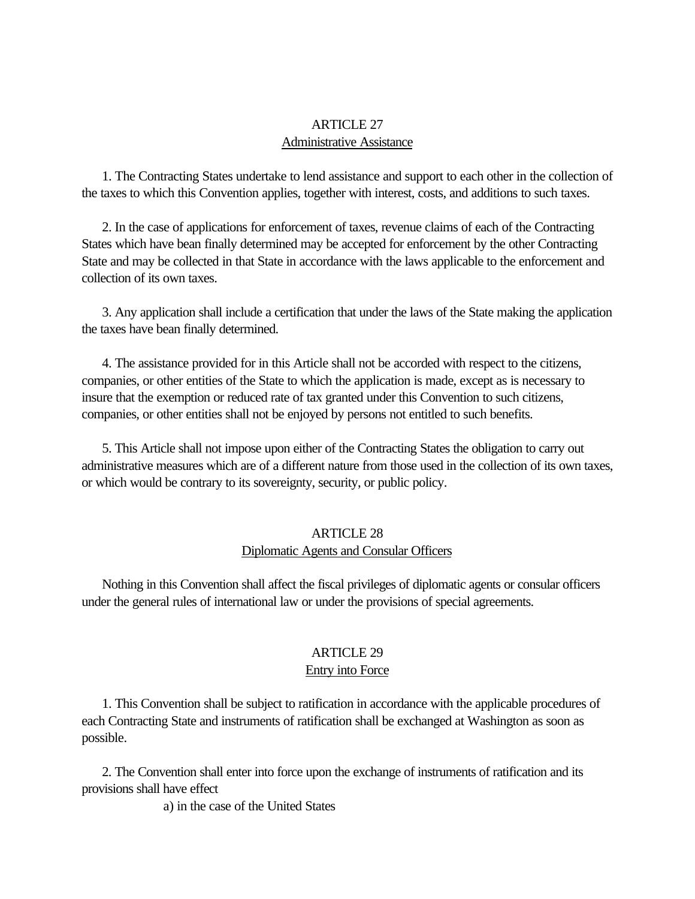# ARTICLE 27 Administrative Assistance

<span id="page-25-0"></span> 1. The Contracting States undertake to lend assistance and support to each other in the collection of the taxes to which this Convention applies, together with interest, costs, and additions to such taxes.

 2. In the case of applications for enforcement of taxes, revenue claims of each of the Contracting States which have bean finally determined may be accepted for enforcement by the other Contracting State and may be collected in that State in accordance with the laws applicable to the enforcement and collection of its own taxes.

 3. Any application shall include a certification that under the laws of the State making the application the taxes have bean finally determined.

 4. The assistance provided for in this Article shall not be accorded with respect to the citizens, companies, or other entities of the State to which the application is made, except as is necessary to insure that the exemption or reduced rate of tax granted under this Convention to such citizens, companies, or other entities shall not be enjoyed by persons not entitled to such benefits.

 5. This Article shall not impose upon either of the Contracting States the obligation to carry out administrative measures which are of a different nature from those used in the collection of its own taxes, or which would be contrary to its sovereignty, security, or public policy.

# ARTICLE 28 Diplomatic Agents and Consular Officers

 Nothing in this Convention shall affect the fiscal privileges of diplomatic agents or consular officers under the general rules of international law or under the provisions of special agreements.

# ARTICLE 29

#### Entry into Force

 1. This Convention shall be subject to ratification in accordance with the applicable procedures of each Contracting State and instruments of ratification shall be exchanged at Washington as soon as possible.

 2. The Convention shall enter into force upon the exchange of instruments of ratification and its provisions shall have effect

a) in the case of the United States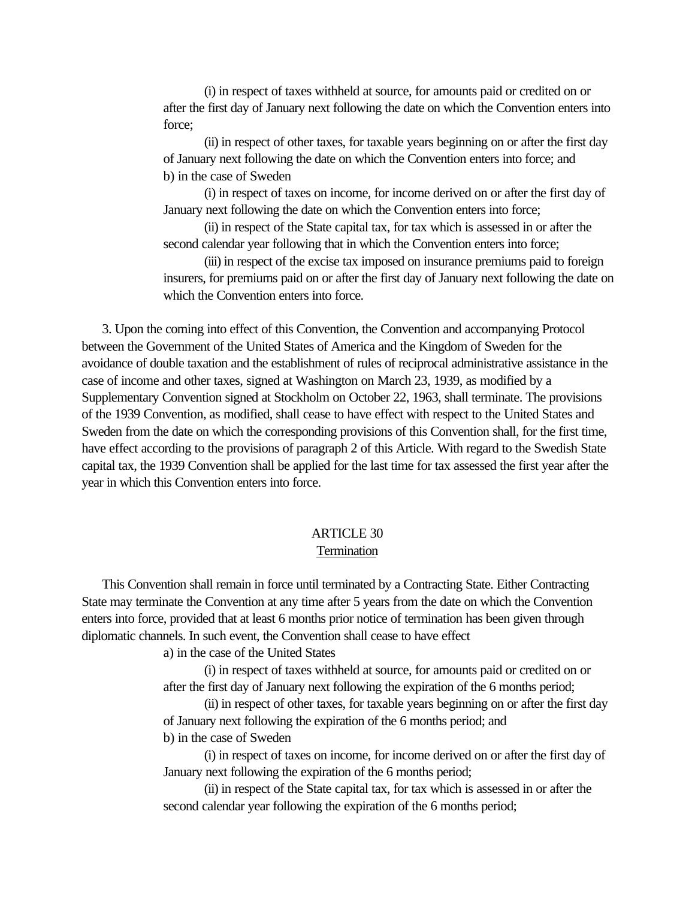<span id="page-26-0"></span>(i) in respect of taxes withheld at source, for amounts paid or credited on or after the first day of January next following the date on which the Convention enters into force;

(ii) in respect of other taxes, for taxable years beginning on or after the first day of January next following the date on which the Convention enters into force; and b) in the case of Sweden

(i) in respect of taxes on income, for income derived on or after the first day of January next following the date on which the Convention enters into force;

(ii) in respect of the State capital tax, for tax which is assessed in or after the second calendar year following that in which the Convention enters into force;

(iii) in respect of the excise tax imposed on insurance premiums paid to foreign insurers, for premiums paid on or after the first day of January next following the date on which the Convention enters into force.

 3. Upon the coming into effect of this Convention, the Convention and accompanying Protocol between the Government of the United States of America and the Kingdom of Sweden for the avoidance of double taxation and the establishment of rules of reciprocal administrative assistance in the case of income and other taxes, signed at Washington on March 23, 1939, as modified by a Supplementary Convention signed at Stockholm on October 22, 1963, shall terminate. The provisions of the 1939 Convention, as modified, shall cease to have effect with respect to the United States and Sweden from the date on which the corresponding provisions of this Convention shall, for the first time, have effect according to the provisions of paragraph 2 of this Article. With regard to the Swedish State capital tax, the 1939 Convention shall be applied for the last time for tax assessed the first year after the year in which this Convention enters into force.

# ARTICLE 30

## **Termination**

 This Convention shall remain in force until terminated by a Contracting State. Either Contracting State may terminate the Convention at any time after 5 years from the date on which the Convention enters into force, provided that at least 6 months prior notice of termination has been given through diplomatic channels. In such event, the Convention shall cease to have effect

a) in the case of the United States

(i) in respect of taxes withheld at source, for amounts paid or credited on or after the first day of January next following the expiration of the 6 months period;

(ii) in respect of other taxes, for taxable years beginning on or after the first day of January next following the expiration of the 6 months period; and

b) in the case of Sweden

(i) in respect of taxes on income, for income derived on or after the first day of January next following the expiration of the 6 months period;

(ii) in respect of the State capital tax, for tax which is assessed in or after the second calendar year following the expiration of the 6 months period;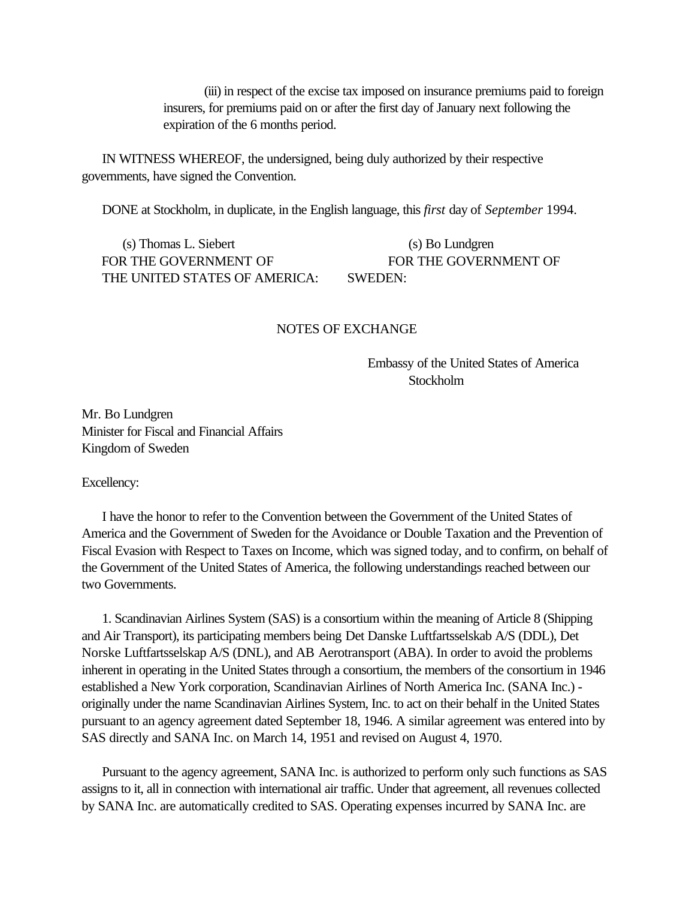(iii) in respect of the excise tax imposed on insurance premiums paid to foreign insurers, for premiums paid on or after the first day of January next following the expiration of the 6 months period.

<span id="page-27-0"></span> IN WITNESS WHEREOF, the undersigned, being duly authorized by their respective governments, have signed the Convention.

DONE at Stockholm, in duplicate, in the English language, this *first* day of *September* 1994.

(s) Thomas L. Siebert (s) Bo Lundgren FOR THE GOVERNMENT OF FOR THE GOVERNMENT OF THE UNITED STATES OF AMERICA: SWEDEN:

#### NOTES OF EXCHANGE

Embassy of the United States of America Stockholm

Mr. Bo Lundgren Minister for Fiscal and Financial Affairs Kingdom of Sweden

Excellency:

 I have the honor to refer to the Convention between the Government of the United States of America and the Government of Sweden for the Avoidance or Double Taxation and the Prevention of Fiscal Evasion with Respect to Taxes on Income, which was signed today, and to confirm, on behalf of the Government of the United States of America, the following understandings reached between our two Governments.

 1. Scandinavian Airlines System (SAS) is a consortium within the meaning of Article 8 (Shipping and Air Transport), its participating members being Det Danske Luftfartsselskab A/S (DDL), Det Norske Luftfartsselskap A/S (DNL), and AB Aerotransport (ABA). In order to avoid the problems inherent in operating in the United States through a consortium, the members of the consortium in 1946 established a New York corporation, Scandinavian Airlines of North America Inc. (SANA Inc.) originally under the name Scandinavian Airlines System, Inc. to act on their behalf in the United States pursuant to an agency agreement dated September 18, 1946. A similar agreement was entered into by SAS directly and SANA Inc. on March 14, 1951 and revised on August 4, 1970.

 Pursuant to the agency agreement, SANA Inc. is authorized to perform only such functions as SAS assigns to it, all in connection with international air traffic. Under that agreement, all revenues collected by SANA Inc. are automatically credited to SAS. Operating expenses incurred by SANA Inc. are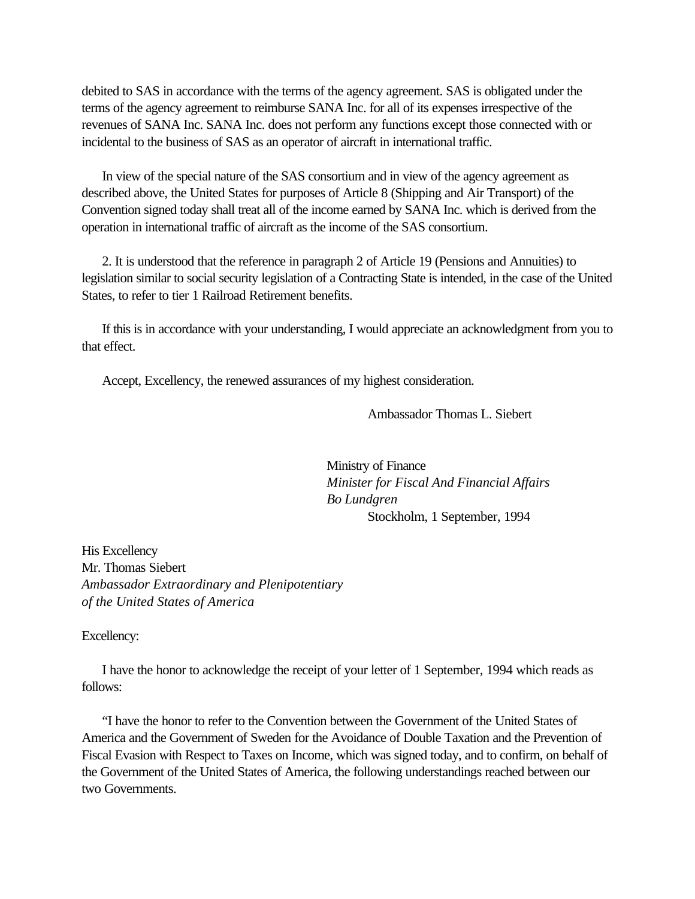debited to SAS in accordance with the terms of the agency agreement. SAS is obligated under the terms of the agency agreement to reimburse SANA Inc. for all of its expenses irrespective of the revenues of SANA Inc. SANA Inc. does not perform any functions except those connected with or incidental to the business of SAS as an operator of aircraft in international traffic.

 In view of the special nature of the SAS consortium and in view of the agency agreement as described above, the United States for purposes of Article 8 (Shipping and Air Transport) of the Convention signed today shall treat all of the income earned by SANA Inc. which is derived from the operation in international traffic of aircraft as the income of the SAS consortium.

 2. It is understood that the reference in paragraph 2 of Article 19 (Pensions and Annuities) to legislation similar to social security legislation of a Contracting State is intended, in the case of the United States, to refer to tier 1 Railroad Retirement benefits.

 If this is in accordance with your understanding, I would appreciate an acknowledgment from you to that effect.

Accept, Excellency, the renewed assurances of my highest consideration.

Ambassador Thomas L. Siebert

Ministry of Finance *Minister for Fiscal And Financial Affairs Bo Lundgren* Stockholm, 1 September, 1994

His Excellency Mr. Thomas Siebert *Ambassador Extraordinary and Plenipotentiary of the United States of America*

Excellency:

 I have the honor to acknowledge the receipt of your letter of 1 September, 1994 which reads as follows:

 "I have the honor to refer to the Convention between the Government of the United States of America and the Government of Sweden for the Avoidance of Double Taxation and the Prevention of Fiscal Evasion with Respect to Taxes on Income, which was signed today, and to confirm, on behalf of the Government of the United States of America, the following understandings reached between our two Governments.